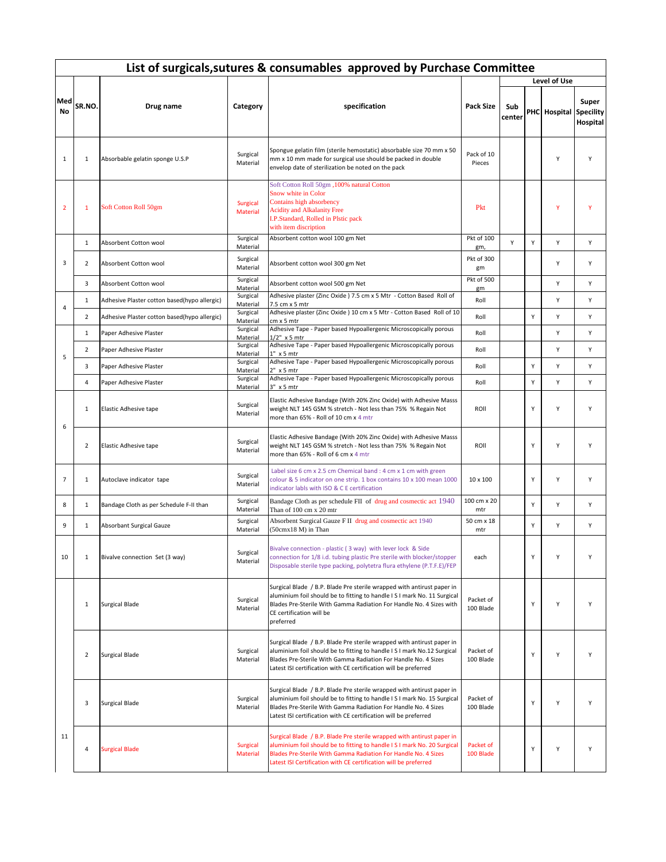|                | List of surgicals, sutures & consumables approved by Purchase Committee |                                              |                             |                                                                                                                                                                                                                                                                                          |                        |               |   |              |                                       |  |  |  |
|----------------|-------------------------------------------------------------------------|----------------------------------------------|-----------------------------|------------------------------------------------------------------------------------------------------------------------------------------------------------------------------------------------------------------------------------------------------------------------------------------|------------------------|---------------|---|--------------|---------------------------------------|--|--|--|
|                |                                                                         |                                              |                             |                                                                                                                                                                                                                                                                                          |                        |               |   | Level of Use |                                       |  |  |  |
| Med<br>No      | SR.NO.                                                                  | Drug name                                    | Category                    | specification                                                                                                                                                                                                                                                                            | <b>Pack Size</b>       | Sub<br>center |   | PHC Hospital | Super<br><b>Specility</b><br>Hospital |  |  |  |
| $\mathbf{1}$   | $\mathbf{1}$                                                            | Absorbable gelatin sponge U.S.P              | Surgical<br>Material        | Spongue gelatin film (sterile hemostatic) absorbable size 70 mm x 50<br>mm x 10 mm made for surgical use should be packed in double<br>envelop date of sterilization be noted on the pack                                                                                                | Pack of 10<br>Pieces   |               |   | Y            | Y                                     |  |  |  |
| $\overline{2}$ | $\mathbf{1}$                                                            | Soft Cotton Roll 50gm                        | <b>Surgical</b><br>Material | Soft Cotton Roll 50gm, 100% natural Cotton<br>Snow white in Color<br>Contains high absorbency<br><b>Acidity and Alkalanity Free</b><br>I.P.Standard, Rolled in Plstic pack<br>with item discription                                                                                      | Pkt                    |               |   | Ÿ            | Y                                     |  |  |  |
|                | $\mathbf{1}$                                                            | Absorbent Cotton wool                        | Surgical<br>Material        | Absorbent cotton wool 100 gm Net                                                                                                                                                                                                                                                         | Pkt of 100<br>gm,      | Y             | Y | Y            | Y                                     |  |  |  |
| 3              | $\overline{2}$                                                          | Absorbent Cotton wool                        | Surgical<br>Material        | Absorbent cotton wool 300 gm Net                                                                                                                                                                                                                                                         | Pkt of 300<br>gm       |               |   | Y            | Υ                                     |  |  |  |
|                | 3                                                                       | Absorbent Cotton wool                        | Surgical<br>Material        | Absorbent cotton wool 500 gm Net                                                                                                                                                                                                                                                         | Pkt of 500<br>gm       |               |   | Υ            | Υ                                     |  |  |  |
|                | $\mathbf{1}$                                                            | Adhesive Plaster cotton based(hypo allergic) | Surgical<br>Material        | Adhesive plaster (Zinc Oxide ) 7.5 cm x 5 Mtr - Cotton Based Roll of<br>7.5 cm x 5 mtr                                                                                                                                                                                                   | Roll                   |               |   | Y            | Υ                                     |  |  |  |
| $\overline{4}$ | $\overline{2}$                                                          | Adhesive Plaster cotton based(hypo allergic) | Surgical<br>Material        | Adhesive plaster (Zinc Oxide) 10 cm x 5 Mtr - Cotton Based Roll of 10<br>$cm \times 5 mtr$                                                                                                                                                                                               | Roll                   |               | Υ | Υ            | Υ                                     |  |  |  |
|                | $\mathbf{1}$                                                            | Paper Adhesive Plaster                       | Surgical<br>Material        | Adhesive Tape - Paper based Hypoallergenic Microscopically porous<br>$1/2"$ x 5 mtr                                                                                                                                                                                                      | Roll                   |               |   | Υ            | Υ                                     |  |  |  |
|                | $\overline{2}$                                                          | Paper Adhesive Plaster                       | Surgical<br>Material        | Adhesive Tape - Paper based Hypoallergenic Microscopically porous<br>1" x 5 mtr                                                                                                                                                                                                          | Roll                   |               |   | Υ            | Υ                                     |  |  |  |
| 5              | 3                                                                       | Paper Adhesive Plaster                       | Surgical<br>Material        | Adhesive Tape - Paper based Hypoallergenic Microscopically porous<br>2" x 5 mtr                                                                                                                                                                                                          | Roll                   |               | Y | Υ            | Υ                                     |  |  |  |
|                | $\overline{4}$                                                          | Paper Adhesive Plaster                       | Surgical<br>Material        | Adhesive Tape - Paper based Hypoallergenic Microscopically porous<br>3" x 5 mtr                                                                                                                                                                                                          | Roll                   |               | Y | Υ            | Υ                                     |  |  |  |
|                | $\mathbf{1}$                                                            | Elastic Adhesive tape                        | Surgical<br>Material        | Elastic Adhesive Bandage (With 20% Zinc Oxide) with Adhesive Masss<br>weight NLT 145 GSM % stretch - Not less than 75% % Regain Not<br>more than 65% - Roll of 10 cm x 4 mtr                                                                                                             | ROII                   |               | Y | Υ            | Υ                                     |  |  |  |
| 6              | $\overline{2}$                                                          | Elastic Adhesive tape                        | Surgical<br>Material        | Elastic Adhesive Bandage (With 20% Zinc Oxide) with Adhesive Masss<br>weight NLT 145 GSM % stretch - Not less than 75% % Regain Not<br>more than 65% - Roll of 6 cm x 4 mtr                                                                                                              | ROII                   |               | Υ | Υ            | Y                                     |  |  |  |
| $\overline{7}$ | $\mathbf{1}$                                                            | Autoclave indicator tape                     | Surgical<br>Material        | Label size 6 cm x 2.5 cm Chemical band : 4 cm x 1 cm with green<br>colour & 5 indicator on one strip. 1 box contains 10 x 100 mean 1000<br>indicator labls with ISO & C E certification                                                                                                  | 10 x 100               |               | Υ | Υ            | Υ                                     |  |  |  |
| 8              | $\mathbf{1}$                                                            | Bandage Cloth as per Schedule F-II than      | Surgical<br>Material        | Bandage Cloth as per schedule FII of drug and cosmectic act 1940<br>Than of 100 cm x 20 mtr                                                                                                                                                                                              | 100 cm x 20<br>mtr     |               | Y | Υ            | Υ                                     |  |  |  |
| 9              | $\mathbf{1}$                                                            | <b>Absorbant Surgical Gauze</b>              | Surgical<br>Material        | Absorbent Surgical Gauze F II drug and cosmectic act 1940<br>(50cmx18 M) in Than                                                                                                                                                                                                         | 50 cm x 18<br>mtr      |               | Υ | Υ            | Υ                                     |  |  |  |
| 10             | $\mathbf{1}$                                                            | Bivalve connection Set (3 way)               | Surgical<br>Material        | Bivalve connection - plastic (3 way) with lever lock & Side<br>connection for 1/8 i.d. tubing plastic Pre sterile with blocker/stopper<br>Disposable sterile type packing, polytetra flura ethylene (P.T.F.E)/FEP                                                                        | each                   |               | Y | Y            | Υ                                     |  |  |  |
|                | $\mathbf{1}$                                                            | <b>Surgical Blade</b>                        | Surgical<br>Material        | Surgical Blade / B.P. Blade Pre sterile wrapped with antirust paper in<br>aluminium foil should be to fitting to handle I S I mark No. 11 Surgical<br>Blades Pre-Sterile With Gamma Radiation For Handle No. 4 Sizes with<br>CE certification will be<br>preferred                       | Packet of<br>100 Blade |               | Υ | Υ            | Υ                                     |  |  |  |
|                | $\overline{2}$                                                          | <b>Surgical Blade</b>                        | Surgical<br>Material        | Surgical Blade / B.P. Blade Pre sterile wrapped with antirust paper in<br>aluminium foil should be to fitting to handle I S I mark No.12 Surgical<br>Blades Pre-Sterile With Gamma Radiation For Handle No. 4 Sizes<br>Latest ISI certification with CE certification will be preferred  | Packet of<br>100 Blade |               | Υ | Υ            | Υ                                     |  |  |  |
|                | 3                                                                       | <b>Surgical Blade</b>                        | Surgical<br>Material        | Surgical Blade / B.P. Blade Pre sterile wrapped with antirust paper in<br>aluminium foil should be to fitting to handle I S I mark No. 15 Surgical<br>Blades Pre-Sterile With Gamma Radiation For Handle No. 4 Sizes<br>Latest ISI certification with CE certification will be preferred | Packet of<br>100 Blade |               | Y | Υ            | Υ                                     |  |  |  |
| 11             | 4                                                                       | <b>Surgical Blade</b>                        | <b>Surgical</b><br>Material | Surgical Blade / B.P. Blade Pre sterile wrapped with antirust paper in<br>aluminium foil should be to fitting to handle I S I mark No. 20 Surgical<br>Blades Pre-Sterile With Gamma Radiation For Handle No. 4 Sizes<br>Latest ISI Certification with CE certification will be preferred | Packet of<br>100 Blade |               | Υ | Υ            | Υ                                     |  |  |  |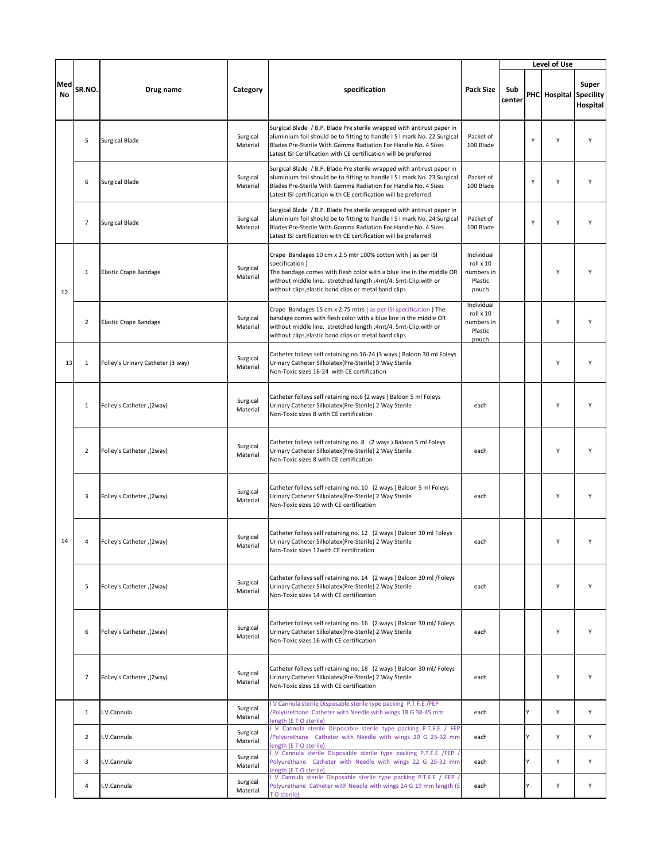|           |                |                                   |                      |                                                                                                                                                                                                                                                                                          |                                                           |               |   | Level of Use           |                   |
|-----------|----------------|-----------------------------------|----------------------|------------------------------------------------------------------------------------------------------------------------------------------------------------------------------------------------------------------------------------------------------------------------------------------|-----------------------------------------------------------|---------------|---|------------------------|-------------------|
| Med<br>No | SR.NO.         | Drug name                         | Category             | specification                                                                                                                                                                                                                                                                            | <b>Pack Size</b>                                          | Sub<br>center |   | PHC Hospital Specility | Super<br>Hospital |
|           | 5              | <b>Surgical Blade</b>             | Surgical<br>Material | Surgical Blade / B.P. Blade Pre sterile wrapped with antirust paper in<br>aluminium foil should be to fitting to handle I S I mark No. 22 Surgical<br>Blades Pre-Sterile With Gamma Radiation For Handle No. 4 Sizes<br>Latest ISI Certification with CE certification will be preferred | Packet of<br>100 Blade                                    |               | Υ | Υ                      | Υ                 |
|           | 6              | <b>Surgical Blade</b>             | Surgical<br>Material | Surgical Blade / B.P. Blade Pre sterile wrapped with antirust paper in<br>aluminium foil should be to fitting to handle I S I mark No. 23 Surgical<br>Blades Pre-Sterile With Gamma Radiation For Handle No. 4 Sizes<br>Latest ISI certification with CE certification will be preferred | Packet of<br>100 Blade                                    |               | Y | Υ                      | Υ                 |
|           | $\overline{7}$ | Surgical Blade                    | Surgical<br>Material | Surgical Blade / B.P. Blade Pre sterile wrapped with antirust paper in<br>aluminium foil should be to fitting to handle I S I mark No. 24 Surgical<br>Blades Pre-Sterile With Gamma Radiation For Handle No. 4 Sizes<br>Latest ISI certification with CE certification will be preferred | Packet of<br>100 Blade                                    |               | Υ | Y                      | Υ                 |
| 12        | 1              | <b>Elastic Crape Bandage</b>      | Surgical<br>Material | Crape Bandages 10 cm x 2.5 mtr 100% cotton with (as per ISI<br>specification)<br>The bandage comes with flesh color with a blue line in the middle OR<br>without middle line. stretched length :4mt/4. 5mt-Clip:with or<br>without clips, elastic band clips or metal band clips         | Individual<br>roll x 10<br>numbers in<br>Plastic<br>pouch |               |   | Υ                      | Y                 |
|           | $\overline{2}$ | <b>Elastic Crape Bandage</b>      | Surgical<br>Material | Crape Bandages 15 cm x 2.75 mtrs (as per ISI specification) The<br>bandage comes with flesh color with a blue line in the middle OR<br>without middle line. stretched length :4mt/4. 5mt-Clip:with or<br>without clips, elastic band clips or metal band clips                           | Individual<br>roll x 10<br>numbers in<br>Plastic<br>pouch |               |   | Υ                      | Y                 |
| 13        | $\mathbf{1}$   | Folley's Urinary Catheter (3 way) | Surgical<br>Material | Catheter folleys self retaining no.16-24 (3 ways ) Baloon 30 ml Foleys<br>Urinary Catheter Silkolatex(Pre-Sterile) 3 Way Sterile<br>Non-Toxic sizes 16-24 with CE certification                                                                                                          |                                                           |               |   | Υ                      | Υ                 |
|           | $\mathbf 1$    | Folley's Catheter ,(2way)         | Surgical<br>Material | Catheter folleys self retaining no.6 (2 ways ) Baloon 5 ml Foleys<br>Urinary Catheter Silkolatex(Pre-Sterile) 2 Way Sterile<br>Non-Toxic sizes 8 with CE certification                                                                                                                   | each                                                      |               |   | Y                      | Y                 |
|           | $\overline{2}$ | Folley's Catheter , (2way)        | Surgical<br>Material | Catheter folleys self retaining no. 8 (2 ways ) Baloon 5 ml Foleys<br>Urinary Catheter Silkolatex(Pre-Sterile) 2 Way Sterile<br>Non-Toxic sizes 8 with CE certification                                                                                                                  | each                                                      |               |   | Υ                      | Y                 |
|           | 3              | Folley's Catheter , (2way)        | Surgical<br>Material | Catheter folleys self retaining no. 10 (2 ways ) Baloon 5 ml Foleys<br>Urinary Catheter Silkolatex(Pre-Sterile) 2 Way Sterile<br>Non-Toxic sizes 10 with CE certification                                                                                                                | each                                                      |               |   | Υ                      | Y                 |
| 14        | $\overline{4}$ | Folley's Catheter , (2way)        | Surgical<br>Material | Catheter folleys self retaining no. 12 (2 ways) Baloon 30 ml Foleys<br>Urinary Catheter Silkolatex (Pre-Sterile) 2 Way Sterile<br>Non-Toxic sizes 12 with CE certification                                                                                                               | each                                                      |               |   | Υ                      | Υ                 |
|           | 5              | Folley's Catheter, (2way)         | Surgical<br>Material | Catheter folleys self retaining no. 14 (2 ways) Baloon 30 ml /Foleys<br>Urinary Catheter Silkolatex(Pre-Sterile) 2 Way Sterile<br>Non-Toxic sizes 14 with CE certification                                                                                                               | each                                                      |               |   | Y                      | Υ                 |
|           | 6              | Folley's Catheter, (2way)         | Surgical<br>Material | Catheter folleys self retaining no. 16 (2 ways ) Baloon 30 ml/ Foleys<br>Urinary Catheter Silkolatex(Pre-Sterile) 2 Way Sterile<br>Non-Toxic sizes 16 with CE certification                                                                                                              | each                                                      |               |   | Υ                      | Υ                 |
|           | $\overline{7}$ | Folley's Catheter, (2way)         | Surgical<br>Material | Catheter folleys self retaining no. 18 (2 ways ) Baloon 30 ml/ Foleys<br>Urinary Catheter Silkolatex(Pre-Sterile) 2 Way Sterile<br>Non-Toxic sizes 18 with CE certification                                                                                                              | each                                                      |               |   | Υ                      | Υ                 |
|           | $\mathbf{1}$   | I.V.Cannula                       | Surgical<br>Material | V Cannula sterile Disposable sterile type packing P.T.F.E /FEP<br>Polyurethane Catheter with Needle with wings 18 G 38-45 mm<br>length (ETO sterile)                                                                                                                                     | each                                                      |               | Y | Y                      | Υ                 |
|           | $\overline{2}$ | I.V.Cannula                       | Surgical<br>Material | V Cannula sterile Disposable sterile type packing P.T.F.E / FEP<br>/Polyurethane Catheter with Needle with wings 20 G 25-32 mm<br>length (ETO sterile)                                                                                                                                   | each                                                      |               | Y | Y                      | Υ                 |
|           | 3              | I.V.Cannula                       | Surgical<br>Material | V Cannula sterile Disposable sterile type packing P.T.F.E /FEP<br>Polyurethane Catheter with Needle with wings 22 G 25-32 mm<br>length (ETO sterile)                                                                                                                                     | each                                                      |               | Y | Υ                      | Υ                 |
|           | $\overline{4}$ | .V.Cannula                        | Surgical<br>Material | V Cannula sterile Disposable sterile type packing P.T.F.E / FEP<br>Polyurethane Catheter with Needle with wings 24 G 19 mm length (E<br>T O sterile)                                                                                                                                     | each                                                      |               | ٧ | Υ                      | Υ                 |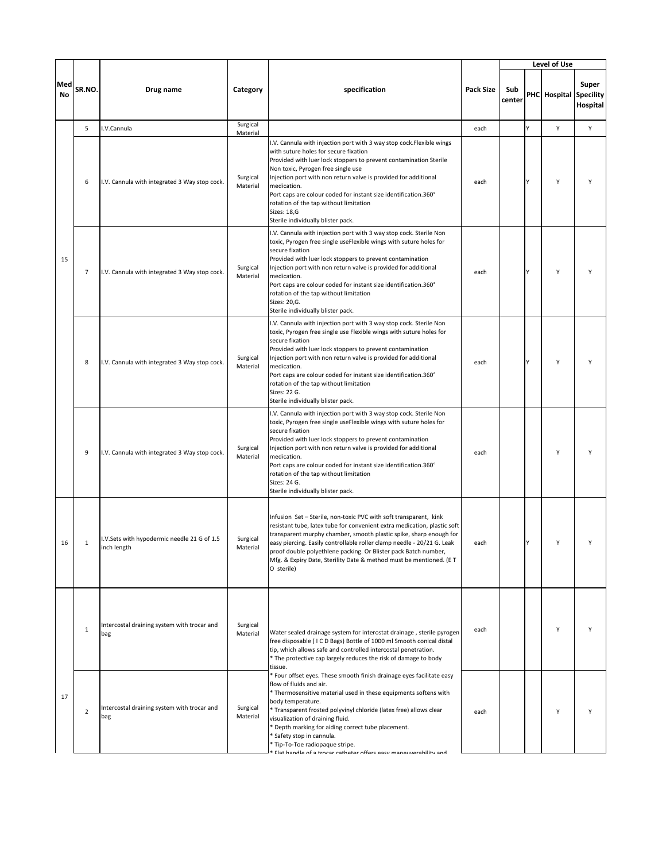|           |                |                                                            |                      |                                                                                                                                                                                                                                                                                                                                                                                                                                                                                               |                  |               |   | Level of Use           |                   |
|-----------|----------------|------------------------------------------------------------|----------------------|-----------------------------------------------------------------------------------------------------------------------------------------------------------------------------------------------------------------------------------------------------------------------------------------------------------------------------------------------------------------------------------------------------------------------------------------------------------------------------------------------|------------------|---------------|---|------------------------|-------------------|
| Med<br>No | SR.NO.         | Drug name                                                  | Category             | specification                                                                                                                                                                                                                                                                                                                                                                                                                                                                                 | <b>Pack Size</b> | Sub<br>center |   | PHC Hospital Specility | Super<br>Hospital |
|           | 5              | I.V.Cannula                                                | Surgical<br>Material |                                                                                                                                                                                                                                                                                                                                                                                                                                                                                               | each             |               | Y | Υ                      | Υ                 |
|           | 6              | I.V. Cannula with integrated 3 Way stop cock.              | Surgical<br>Material | I.V. Cannula with injection port with 3 way stop cock.Flexible wings<br>with suture holes for secure fixation<br>Provided with luer lock stoppers to prevent contamination Sterile<br>Non toxic, Pyrogen free single use<br>Injection port with non return valve is provided for additional<br>medication.<br>Port caps are colour coded for instant size identification.360°<br>rotation of the tap without limitation<br>Sizes: 18,G<br>Sterile individually blister pack.                  | each             |               | γ | Υ                      | Y                 |
| 15        | 7              | I.V. Cannula with integrated 3 Way stop cock.              | Surgical<br>Material | I.V. Cannula with injection port with 3 way stop cock. Sterile Non<br>toxic, Pyrogen free single useFlexible wings with suture holes for<br>secure fixation<br>Provided with luer lock stoppers to prevent contamination<br>Injection port with non return valve is provided for additional<br>medication.<br>Port caps are colour coded for instant size identification.360°<br>rotation of the tap without limitation<br>Sizes: 20,G.<br>Sterile individually blister pack.                 | each             |               | Y | Υ                      | Y                 |
|           | 8              | I.V. Cannula with integrated 3 Way stop cock.              | Surgical<br>Material | I.V. Cannula with injection port with 3 way stop cock. Sterile Non<br>toxic, Pyrogen free single use Flexible wings with suture holes for<br>secure fixation<br>Provided with luer lock stoppers to prevent contamination<br>Injection port with non return valve is provided for additional<br>medication.<br>Port caps are colour coded for instant size identification.360°<br>rotation of the tap without limitation<br>Sizes: 22 G.<br>Sterile individually blister pack.                | each             |               | Υ | Υ                      | Υ                 |
|           | 9              | I.V. Cannula with integrated 3 Way stop cock.              | Surgical<br>Material | I.V. Cannula with injection port with 3 way stop cock. Sterile Non<br>toxic, Pyrogen free single useFlexible wings with suture holes for<br>secure fixation<br>Provided with luer lock stoppers to prevent contamination<br>Injection port with non return valve is provided for additional<br>medication.<br>Port caps are colour coded for instant size identification.360°<br>rotation of the tap without limitation<br>Sizes: 24 G.<br>Sterile individually blister pack.                 | each             |               |   | Υ                      | Υ                 |
| 16        | 1              | I.V.Sets with hypodermic needle 21 G of 1.5<br>inch length | Surgical<br>Material | Infusion Set - Sterile, non-toxic PVC with soft transparent, kink<br>resistant tube, latex tube for convenient extra medication, plastic soft<br>transparent murphy chamber, smooth plastic spike, sharp enough for<br>easy piercing. Easily controllable roller clamp needle - 20/21 G. Leak<br>proof double polyethlene packing. Or Blister pack Batch number,<br>Mfg. & Expiry Date, Sterility Date & method must be mentioned. (E T<br>O sterile)                                         | each             |               | Y | Y                      | Y                 |
|           | $\mathbf{1}$   | Intercostal draining system with trocar and<br>bag         | Surgical<br>Material | Water sealed drainage system for interostat drainage, sterile pyrogen<br>free disposable (ICD Bags) Bottle of 1000 ml Smooth conical distal<br>tip, which allows safe and controlled intercostal penetration.<br>* The protective cap largely reduces the risk of damage to body<br>tissue.                                                                                                                                                                                                   | each             |               |   | Υ                      | Y                 |
| 17        | $\overline{2}$ | Intercostal draining system with trocar and<br>bag         | Surgical<br>Material | * Four offset eyes. These smooth finish drainage eyes facilitate easy<br>flow of fluids and air.<br>* Thermosensitive material used in these equipments softens with<br>body temperature.<br>* Transparent frosted polyvinyl chloride (latex free) allows clear<br>visualization of draining fluid.<br>* Depth marking for aiding correct tube placement.<br>* Safety stop in cannula.<br>* Tip-To-Toe radiopaque stripe.<br>Flat handle of a trocar catheter offers easy maneuverability and | each             |               |   | Υ                      | Y                 |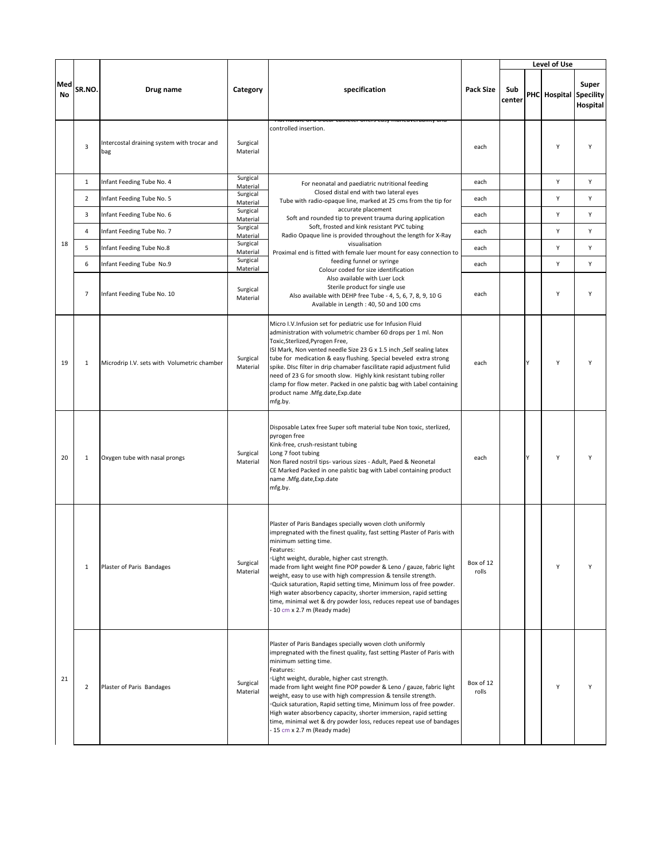|           |                |                                                    |                                  |                                                                                                                                                                                                                                                                                                                                                                                                                                                                                                                                                                                                                        |                    |               |   | Level of Use |                                       |
|-----------|----------------|----------------------------------------------------|----------------------------------|------------------------------------------------------------------------------------------------------------------------------------------------------------------------------------------------------------------------------------------------------------------------------------------------------------------------------------------------------------------------------------------------------------------------------------------------------------------------------------------------------------------------------------------------------------------------------------------------------------------------|--------------------|---------------|---|--------------|---------------------------------------|
| Med<br>No | SR.NO.         | Drug name                                          | Category                         | specification                                                                                                                                                                                                                                                                                                                                                                                                                                                                                                                                                                                                          | <b>Pack Size</b>   | Sub<br>center |   | PHC Hospital | Super<br><b>Specility</b><br>Hospital |
|           | 3              | Intercostal draining system with trocar and<br>bag | Surgical<br>Material             | it nanuie or a trocar catrieter oriers easy maneuverability and<br>controlled insertion.                                                                                                                                                                                                                                                                                                                                                                                                                                                                                                                               | each               |               |   | Υ            | Y                                     |
|           | $\mathbf{1}$   | Infant Feeding Tube No. 4                          | Surgical<br>Material             | For neonatal and paediatric nutritional feeding                                                                                                                                                                                                                                                                                                                                                                                                                                                                                                                                                                        | each               |               |   | Υ            | Υ                                     |
|           | $\overline{2}$ | Infant Feeding Tube No. 5                          | Surgical<br>Material             | Closed distal end with two lateral eyes<br>Tube with radio-opaque line, marked at 25 cms from the tip for                                                                                                                                                                                                                                                                                                                                                                                                                                                                                                              | each               |               |   | Υ            | Υ                                     |
|           | 3              | Infant Feeding Tube No. 6                          | Surgical<br>Material             | accurate placement<br>Soft and rounded tip to prevent trauma during application                                                                                                                                                                                                                                                                                                                                                                                                                                                                                                                                        | each               |               |   | Υ            | Υ                                     |
|           | 4              | Infant Feeding Tube No. 7                          | Surgical<br>Material             | Soft, frosted and kink resistant PVC tubing<br>Radio Opaque line is provided throughout the length for X-Ray                                                                                                                                                                                                                                                                                                                                                                                                                                                                                                           | each               |               |   | Υ            | Υ                                     |
| 18        | 5              | Infant Feeding Tube No.8                           | Surgical                         | visualisation                                                                                                                                                                                                                                                                                                                                                                                                                                                                                                                                                                                                          | each               |               |   | Y            | Y                                     |
|           | 6              | Infant Feeding Tube No.9                           | Material<br>Surgical             | Proximal end is fitted with female luer mount for easy connection to<br>feeding funnel or syringe                                                                                                                                                                                                                                                                                                                                                                                                                                                                                                                      | each               |               |   | Υ            | Υ                                     |
|           | $\overline{7}$ | Infant Feeding Tube No. 10                         | Material<br>Surgical<br>Material | Colour coded for size identification<br>Also available with Luer Lock<br>Sterile product for single use<br>Also available with DEHP free Tube - 4, 5, 6, 7, 8, 9, 10 G<br>Available in Length : 40, 50 and 100 cms                                                                                                                                                                                                                                                                                                                                                                                                     | each               |               |   | Y            | Y                                     |
| 19        | $\mathbf{1}$   | Microdrip I.V. sets with Volumetric chamber        | Surgical<br>Material             | Micro I.V.Infusion set for pediatric use for Infusion Fluid<br>administration with volumetric chamber 60 drops per 1 ml. Non<br>Toxic,Sterlized,Pyrogen Free,<br>ISI Mark, Non vented needle Size 23 G x 1.5 inch , Self sealing latex<br>tube for medication & easy flushing. Special beveled extra strong<br>spike. Disc filter in drip chamaber fascilitate rapid adjustment fulid<br>need of 23 G for smooth slow. Highly kink resistant tubing roller<br>clamp for flow meter. Packed in one palstic bag with Label containing<br>product name .Mfg.date, Exp.date<br>mfg.by.                                     | each               |               | Y | Υ            | Y                                     |
| 20        | 1              | Oxygen tube with nasal prongs                      | Surgical<br>Material             | Disposable Latex free Super soft material tube Non toxic, sterlized,<br>pyrogen free<br>Kink-free, crush-resistant tubing<br>Long 7 foot tubing<br>Non flared nostril tips- various sizes - Adult, Paed & Neonetal<br>CE Marked Packed in one palstic bag with Label containing product<br>name .Mfg.date,Exp.date<br>mfg.by.                                                                                                                                                                                                                                                                                          | each               |               | γ | Υ            |                                       |
|           | 1              | Plaster of Paris Bandages                          | Surgical<br>Material             | Plaster of Paris Bandages specially woven cloth uniformly<br>impregnated with the finest quality, fast setting Plaster of Paris with<br>minimum setting time.<br>Features:<br>·Light weight, durable, higher cast strength.<br>made from light weight fine POP powder & Leno / gauze, fabric light<br>weight, easy to use with high compression & tensile strength.<br>. Quick saturation, Rapid setting time, Minimum loss of free powder.<br>High water absorbency capacity, shorter immersion, rapid setting<br>time, minimal wet & dry powder loss, reduces repeat use of bandages<br>- 10 cm x 2.7 m (Ready made) | Box of 12<br>rolls |               |   | Υ            | Υ                                     |
| 21        | $\overline{2}$ | Plaster of Paris Bandages                          | Surgical<br>Material             | Plaster of Paris Bandages specially woven cloth uniformly<br>impregnated with the finest quality, fast setting Plaster of Paris with<br>minimum setting time.<br>Features:<br>.Light weight, durable, higher cast strength.<br>made from light weight fine POP powder & Leno / gauze, fabric light<br>weight, easy to use with high compression & tensile strength.<br>.Quick saturation, Rapid setting time, Minimum loss of free powder.<br>High water absorbency capacity, shorter immersion, rapid setting<br>time, minimal wet & dry powder loss, reduces repeat use of bandages<br>- 15 cm x 2.7 m (Ready made)  | Box of 12<br>rolls |               |   | Y            | Υ                                     |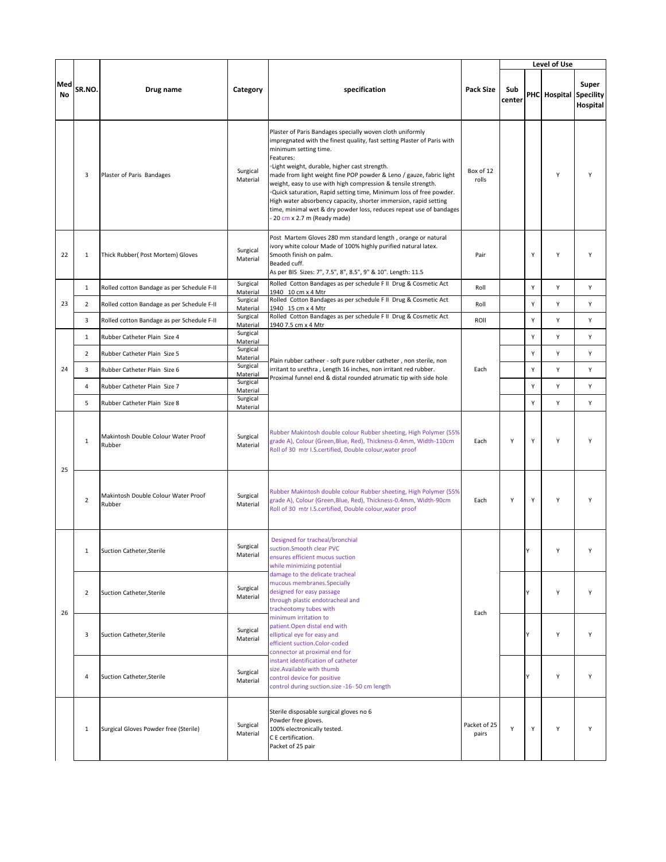|           |                |                                               |                                  |                                                                                                                                                                                                                                                                                                                                                                                                                                                                                                                                                                                                                        |                       |               |   | Level of Use           |                   |
|-----------|----------------|-----------------------------------------------|----------------------------------|------------------------------------------------------------------------------------------------------------------------------------------------------------------------------------------------------------------------------------------------------------------------------------------------------------------------------------------------------------------------------------------------------------------------------------------------------------------------------------------------------------------------------------------------------------------------------------------------------------------------|-----------------------|---------------|---|------------------------|-------------------|
| Med<br>No | SR.NO.         | Drug name                                     | Category                         | specification                                                                                                                                                                                                                                                                                                                                                                                                                                                                                                                                                                                                          | <b>Pack Size</b>      | Sub<br>center |   | PHC Hospital Specility | Super<br>Hospital |
|           | 3              | Plaster of Paris Bandages                     | Surgical<br>Material             | Plaster of Paris Bandages specially woven cloth uniformly<br>impregnated with the finest quality, fast setting Plaster of Paris with<br>minimum setting time.<br>Features:<br>·Light weight, durable, higher cast strength.<br>made from light weight fine POP powder & Leno / gauze, fabric light<br>weight, easy to use with high compression & tensile strength.<br>. Quick saturation, Rapid setting time, Minimum loss of free powder.<br>High water absorbency capacity, shorter immersion, rapid setting<br>time, minimal wet & dry powder loss, reduces repeat use of bandages<br>- 20 cm x 2.7 m (Ready made) | Box of 12<br>rolls    |               |   | Y                      | Y                 |
| 22        | $\mathbf{1}$   | Thick Rubber( Post Mortem) Gloves             | Surgical<br>Material             | Post Martem Gloves 280 mm standard length, orange or natural<br>ivory white colour Made of 100% highly purified natural latex.<br>Smooth finish on palm.<br>Beaded cuff.<br>As per BIS Sizes: 7", 7.5", 8", 8.5", 9" & 10". Length: 11.5                                                                                                                                                                                                                                                                                                                                                                               | Pair                  |               | Y | Y                      | Υ                 |
|           | $\mathbf{1}$   | Rolled cotton Bandage as per Schedule F-II    | Surgical<br>Material             | Rolled Cotton Bandages as per schedule F II Drug & Cosmetic Act<br>1940 10 cm x 4 Mtr                                                                                                                                                                                                                                                                                                                                                                                                                                                                                                                                  | Roll                  |               | Y | Υ                      | Υ                 |
| 23        | $\overline{2}$ | Rolled cotton Bandage as per Schedule F-II    | Surgical<br>Material             | Rolled Cotton Bandages as per schedule FII Drug & Cosmetic Act<br>1940 15 cm x 4 Mtr                                                                                                                                                                                                                                                                                                                                                                                                                                                                                                                                   | Roll                  |               | Y | Υ                      | Υ                 |
|           | 3              | Rolled cotton Bandage as per Schedule F-II    | Surgical                         | Rolled Cotton Bandages as per schedule F II Drug & Cosmetic Act                                                                                                                                                                                                                                                                                                                                                                                                                                                                                                                                                        | ROII                  |               | Y | Y                      | Y                 |
|           | $\mathbf{1}$   | Rubber Catheter Plain Size 4                  | Material<br>Surgical             | 1940 7.5 cm x 4 Mtr                                                                                                                                                                                                                                                                                                                                                                                                                                                                                                                                                                                                    |                       |               | Y | Υ                      | Υ                 |
|           | $\overline{2}$ | Rubber Catheter Plain Size 5                  | Material<br>Surgical             |                                                                                                                                                                                                                                                                                                                                                                                                                                                                                                                                                                                                                        |                       |               | Y | Υ                      | Y                 |
| 24        | 3              | Rubber Catheter Plain Size 6                  | Material<br>Surgical             | Plain rubber catheer - soft pure rubber catheter, non sterile, non<br>irritant to urethra, Length 16 inches, non irritant red rubber.                                                                                                                                                                                                                                                                                                                                                                                                                                                                                  | Each                  |               | Υ | Υ                      | Υ                 |
|           | $\overline{4}$ | Rubber Catheter Plain Size 7                  | Material<br>Surgical<br>Material | Proximal funnel end & distal rounded atrumatic tip with side hole                                                                                                                                                                                                                                                                                                                                                                                                                                                                                                                                                      |                       |               | Υ | Υ                      | Y                 |
|           | 5              | Rubber Catheter Plain Size 8                  | Surgical<br>Material             |                                                                                                                                                                                                                                                                                                                                                                                                                                                                                                                                                                                                                        |                       |               | Y | Y                      | Υ                 |
| 25        | $\mathbf{1}$   | Makintosh Double Colour Water Proof<br>Rubber | Surgical<br>Material             | Rubber Makintosh double colour Rubber sheeting, High Polymer (55%<br>grade A), Colour (Green, Blue, Red), Thickness-0.4mm, Width-110cm<br>Roll of 30 mtr I.S.certified, Double colour, water proof                                                                                                                                                                                                                                                                                                                                                                                                                     | Each                  | Υ             | Y | Υ                      | Y                 |
|           | $\overline{2}$ | Makintosh Double Colour Water Proof<br>Rubber | Surgical<br>Material             | Rubber Makintosh double colour Rubber sheeting, High Polymer (55%<br>grade A), Colour (Green, Blue, Red), Thickness-0.4mm, Width-90cm<br>Roll of 30 mtr I.S.certified, Double colour, water proof                                                                                                                                                                                                                                                                                                                                                                                                                      | Each                  | Υ             | Y | Y                      | Y                 |
|           | $\mathbf{1}$   | Suction Catheter, Sterile                     | Surgical<br>Material             | Designed for tracheal/bronchial<br>suction.Smooth clear PVC<br>ensures efficient mucus suction<br>while minimizing potential                                                                                                                                                                                                                                                                                                                                                                                                                                                                                           |                       |               | Y | Υ                      | Υ                 |
| 26        | $\overline{2}$ | Suction Catheter, Sterile                     | Surgical<br>Material             | damage to the delicate tracheal<br>mucous membranes.Specially<br>designed for easy passage<br>through plastic endotracheal and<br>tracheotomy tubes with                                                                                                                                                                                                                                                                                                                                                                                                                                                               | Each                  |               | Y | Υ                      | Υ                 |
|           | 3              | Suction Catheter, Sterile                     | Surgical<br>Material             | minimum irritation to<br>patient. Open distal end with<br>elliptical eye for easy and<br>efficient suction.Color-coded<br>connector at proximal end for                                                                                                                                                                                                                                                                                                                                                                                                                                                                |                       |               | Y | Υ                      | Y                 |
|           | 4              | Suction Catheter, Sterile                     | Surgical<br>Material             | instant identification of catheter<br>size.Available with thumb<br>control device for positive<br>control during suction.size -16-50 cm length                                                                                                                                                                                                                                                                                                                                                                                                                                                                         |                       |               | Y | Υ                      | Υ                 |
|           | $\mathbf{1}$   | Surgical Gloves Powder free (Sterile)         | Surgical<br>Material             | Sterile disposable surgical gloves no 6<br>Powder free gloves.<br>100% electronically tested.<br>C E certification.<br>Packet of 25 pair                                                                                                                                                                                                                                                                                                                                                                                                                                                                               | Packet of 25<br>pairs | Υ             | Y | Υ                      | Υ                 |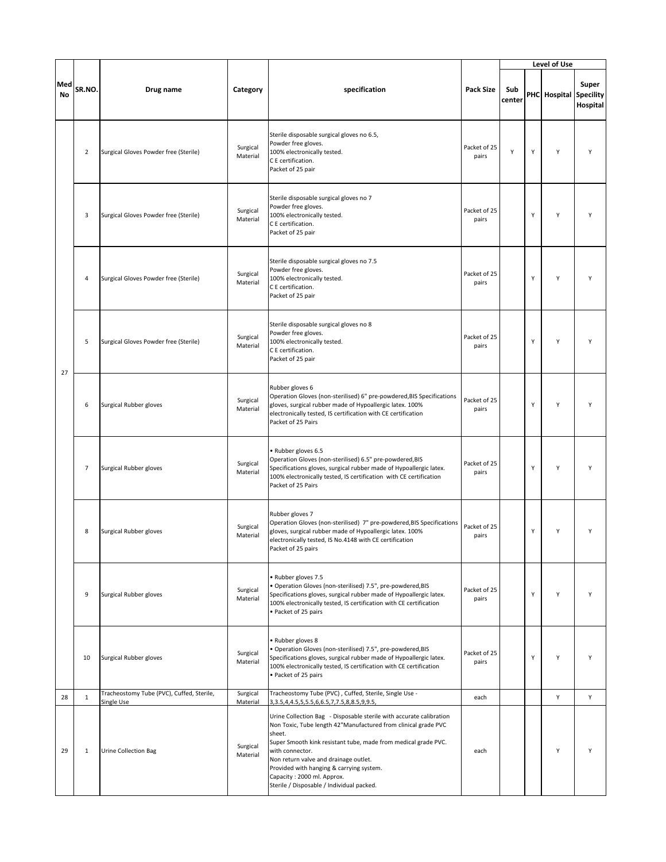|           |                |                                                         |                      |                                                                                                                                                                                                                                                                                                                                                                                                      |                       |               |   | Level of Use           |                   |
|-----------|----------------|---------------------------------------------------------|----------------------|------------------------------------------------------------------------------------------------------------------------------------------------------------------------------------------------------------------------------------------------------------------------------------------------------------------------------------------------------------------------------------------------------|-----------------------|---------------|---|------------------------|-------------------|
| Med<br>No | SR.NO.         | Drug name                                               | Category             | specification                                                                                                                                                                                                                                                                                                                                                                                        | <b>Pack Size</b>      | Sub<br>center |   | PHC Hospital Specility | Super<br>Hospital |
|           | $\overline{2}$ | Surgical Gloves Powder free (Sterile)                   | Surgical<br>Material | Sterile disposable surgical gloves no 6.5,<br>Powder free gloves.<br>100% electronically tested.<br>C E certification.<br>Packet of 25 pair                                                                                                                                                                                                                                                          | Packet of 25<br>pairs | Y             | Υ | Y                      | Υ                 |
|           | 3              | Surgical Gloves Powder free (Sterile)                   | Surgical<br>Material | Sterile disposable surgical gloves no 7<br>Powder free gloves.<br>100% electronically tested.<br>C E certification.<br>Packet of 25 pair                                                                                                                                                                                                                                                             | Packet of 25<br>pairs |               | Υ | Y                      |                   |
|           | 4              | Surgical Gloves Powder free (Sterile)                   | Surgical<br>Material | Sterile disposable surgical gloves no 7.5<br>Powder free gloves.<br>100% electronically tested.<br>C E certification.<br>Packet of 25 pair                                                                                                                                                                                                                                                           | Packet of 25<br>pairs |               | Υ | Y                      | Υ                 |
| 27        | 5              | Surgical Gloves Powder free (Sterile)                   | Surgical<br>Material | Sterile disposable surgical gloves no 8<br>Powder free gloves.<br>100% electronically tested.<br>C E certification.<br>Packet of 25 pair                                                                                                                                                                                                                                                             | Packet of 25<br>pairs |               | Υ | Y                      |                   |
|           | 6              | Surgical Rubber gloves                                  | Surgical<br>Material | Rubber gloves 6<br>Operation Gloves (non-sterilised) 6" pre-powdered, BIS Specifications<br>gloves, surgical rubber made of Hypoallergic latex. 100%<br>electronically tested, IS certification with CE certification<br>Packet of 25 Pairs                                                                                                                                                          | Packet of 25<br>pairs |               | Υ | Y                      |                   |
|           | $\overline{7}$ | Surgical Rubber gloves                                  | Surgical<br>Material | • Rubber gloves 6.5<br>Operation Gloves (non-sterilised) 6.5" pre-powdered, BIS<br>Specifications gloves, surgical rubber made of Hypoallergic latex.<br>100% electronically tested, IS certification with CE certification<br>Packet of 25 Pairs                                                                                                                                                    | Packet of 25<br>pairs |               | Υ | Y                      | Υ                 |
|           | 8              | Surgical Rubber gloves                                  | Surgical<br>Material | Rubber gloves 7<br>Operation Gloves (non-sterilised) 7" pre-powdered, BIS Specifications<br>gloves, surgical rubber made of Hypoallergic latex. 100%<br>electronically tested, IS No.4148 with CE certification<br>Packet of 25 pairs                                                                                                                                                                | Packet of 25<br>pairs |               | Υ | Υ                      |                   |
|           | 9              | Surgical Rubber gloves                                  | Surgical<br>Material | • Rubber gloves 7.5<br>• Operation Gloves (non-sterilised) 7.5", pre-powdered, BIS<br>Specifications gloves, surgical rubber made of Hypoallergic latex.<br>100% electronically tested, IS certification with CE certification<br>• Packet of 25 pairs                                                                                                                                               | Packet of 25<br>pairs |               | Υ | Y                      | Y                 |
|           | 10             | Surgical Rubber gloves                                  | Surgical<br>Material | • Rubber gloves 8<br>· Operation Gloves (non-sterilised) 7.5", pre-powdered, BIS<br>Specifications gloves, surgical rubber made of Hypoallergic latex.<br>100% electronically tested, IS certification with CE certification<br>• Packet of 25 pairs                                                                                                                                                 | Packet of 25<br>pairs |               | Υ | Υ                      | Υ                 |
| 28        | $\mathbf{1}$   | Tracheostomy Tube (PVC), Cuffed, Sterile,<br>Single Use | Surgical<br>Material | Tracheostomy Tube (PVC), Cuffed, Sterile, Single Use -<br>3, 3.5, 4, 4.5, 5, 5.5, 6, 6.5, 7, 7.5, 8, 8.5, 9, 9.5,                                                                                                                                                                                                                                                                                    | each                  |               |   | Υ                      | Υ                 |
| 29        | $\mathbf{1}$   | <b>Urine Collection Bag</b>                             | Surgical<br>Material | Urine Collection Bag - Disposable sterile with accurate calibration<br>Non Toxic, Tube length 42"Manufactured from clinical grade PVC<br>sheet.<br>Super Smooth kink resistant tube, made from medical grade PVC.<br>with connector.<br>Non return valve and drainage outlet.<br>Provided with hanging & carrying system.<br>Capacity: 2000 ml. Approx.<br>Sterile / Disposable / Individual packed. | each                  |               |   | Y                      | Y                 |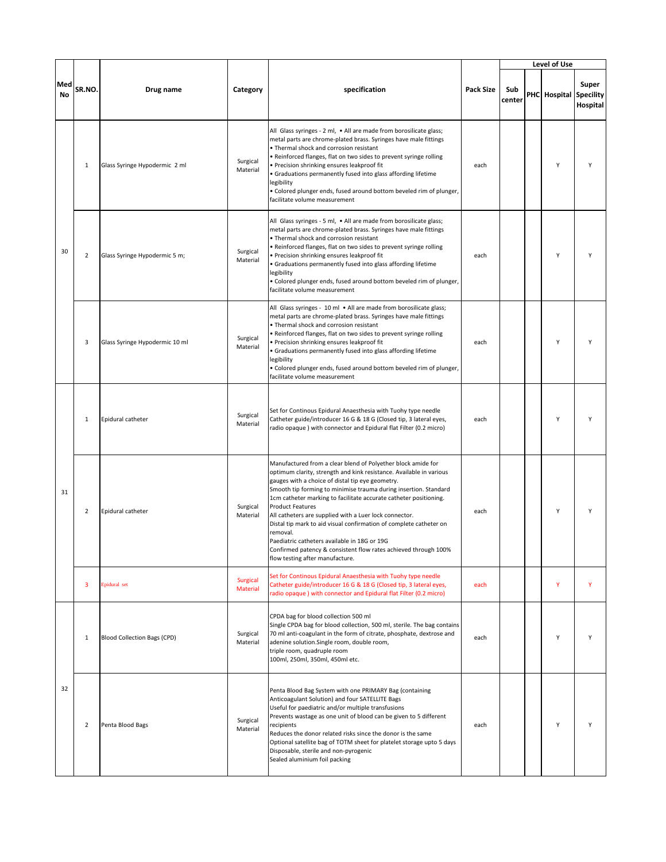|                  |                |                                    |                             |                                                                                                                                                                                                                                                                                                                                                                                                                                                                                                                                                                                                                                                               |                  |               | Level of Use |                                       |
|------------------|----------------|------------------------------------|-----------------------------|---------------------------------------------------------------------------------------------------------------------------------------------------------------------------------------------------------------------------------------------------------------------------------------------------------------------------------------------------------------------------------------------------------------------------------------------------------------------------------------------------------------------------------------------------------------------------------------------------------------------------------------------------------------|------------------|---------------|--------------|---------------------------------------|
| Med<br><b>No</b> | SR.NO.         | Drug name                          | Category                    | specification                                                                                                                                                                                                                                                                                                                                                                                                                                                                                                                                                                                                                                                 | <b>Pack Size</b> | Sub<br>center | PHC Hospital | Super<br><b>Specility</b><br>Hospital |
|                  | $\mathbf 1$    | Glass Syringe Hypodermic 2 ml      | Surgical<br>Material        | All Glass syringes - 2 ml, . All are made from borosilicate glass;<br>metal parts are chrome-plated brass. Syringes have male fittings<br>• Thermal shock and corrosion resistant<br>. Reinforced flanges, flat on two sides to prevent syringe rolling<br>· Precision shrinking ensures leakproof fit<br>• Graduations permanently fused into glass affording lifetime<br>legibility<br>· Colored plunger ends, fused around bottom beveled rim of plunger,<br>facilitate volume measurement                                                                                                                                                                 | each             |               | Y            | Υ                                     |
| 30               | $\overline{2}$ | Glass Syringe Hypodermic 5 m;      | Surgical<br>Material        | All Glass syringes - 5 ml, . All are made from borosilicate glass;<br>metal parts are chrome-plated brass. Syringes have male fittings<br>• Thermal shock and corrosion resistant<br>. Reinforced flanges, flat on two sides to prevent syringe rolling<br>· Precision shrinking ensures leakproof fit<br>• Graduations permanently fused into glass affording lifetime<br>legibility<br>. Colored plunger ends, fused around bottom beveled rim of plunger,<br>facilitate volume measurement                                                                                                                                                                 | each             |               | Υ            |                                       |
|                  | 3              | Glass Syringe Hypodermic 10 ml     | Surgical<br>Material        | All Glass syringes - 10 ml . All are made from borosilicate glass;<br>metal parts are chrome-plated brass. Syringes have male fittings<br>. Thermal shock and corrosion resistant<br>· Reinforced flanges, flat on two sides to prevent syringe rolling<br>· Precision shrinking ensures leakproof fit<br>· Graduations permanently fused into glass affording lifetime<br>legibility<br>· Colored plunger ends, fused around bottom beveled rim of plunger,<br>facilitate volume measurement                                                                                                                                                                 | each             |               | Υ            | Υ                                     |
|                  | $\mathbf{1}$   | Epidural catheter                  | Surgical<br>Material        | Set for Continous Epidural Anaesthesia with Tuohy type needle<br>Catheter guide/introducer 16 G & 18 G (Closed tip, 3 lateral eyes,<br>radio opaque ) with connector and Epidural flat Filter (0.2 micro)                                                                                                                                                                                                                                                                                                                                                                                                                                                     | each             |               | Υ            |                                       |
| 31               | $\overline{2}$ | Epidural catheter                  | Surgical<br>Material        | Manufactured from a clear blend of Polyether block amide for<br>optimum clarity, strength and kink resistance. Available in various<br>gauges with a choice of distal tip eye geometry.<br>Smooth tip forming to minimise trauma during insertion. Standard<br>1cm catheter marking to facilitate accurate catheter positioning.<br><b>Product Features</b><br>All catheters are supplied with a Luer lock connector.<br>Distal tip mark to aid visual confirmation of complete catheter on<br>removal.<br>Paediatric catheters available in 18G or 19G<br>Confirmed patency & consistent flow rates achieved through 100%<br>flow testing after manufacture. | each             |               | Υ            |                                       |
|                  | 3              | Epidural set                       | <b>Surgical</b><br>Material | Set for Continous Epidural Anaesthesia with Tuohy type needle<br>Catheter guide/introducer 16 G & 18 G (Closed tip, 3 lateral eyes,<br>radio opaque) with connector and Epidural flat Filter (0.2 micro)                                                                                                                                                                                                                                                                                                                                                                                                                                                      | each             |               | Y            | Y                                     |
|                  | $\mathbf{1}$   | <b>Blood Collection Bags (CPD)</b> | Surgical<br>Material        | CPDA bag for blood collection 500 ml<br>Single CPDA bag for blood collection, 500 ml, sterile. The bag contains<br>70 ml anti-coagulant in the form of citrate, phosphate, dextrose and<br>adenine solution.Single room, double room,<br>triple room, quadruple room<br>100ml, 250ml, 350ml, 450ml etc.                                                                                                                                                                                                                                                                                                                                                       | each             |               | Υ            | Υ                                     |
| 32               | $\overline{2}$ | Penta Blood Bags                   | Surgical<br>Material        | Penta Blood Bag System with one PRIMARY Bag (containing<br>Anticoagulant Solution) and four SATELLITE Bags<br>Useful for paediatric and/or multiple transfusions<br>Prevents wastage as one unit of blood can be given to 5 different<br>recipients<br>Reduces the donor related risks since the donor is the same<br>Optional satellite bag of TOTM sheet for platelet storage upto 5 days<br>Disposable, sterile and non-pyrogenic<br>Sealed aluminium foil packing                                                                                                                                                                                         | each             |               | Υ            | Υ                                     |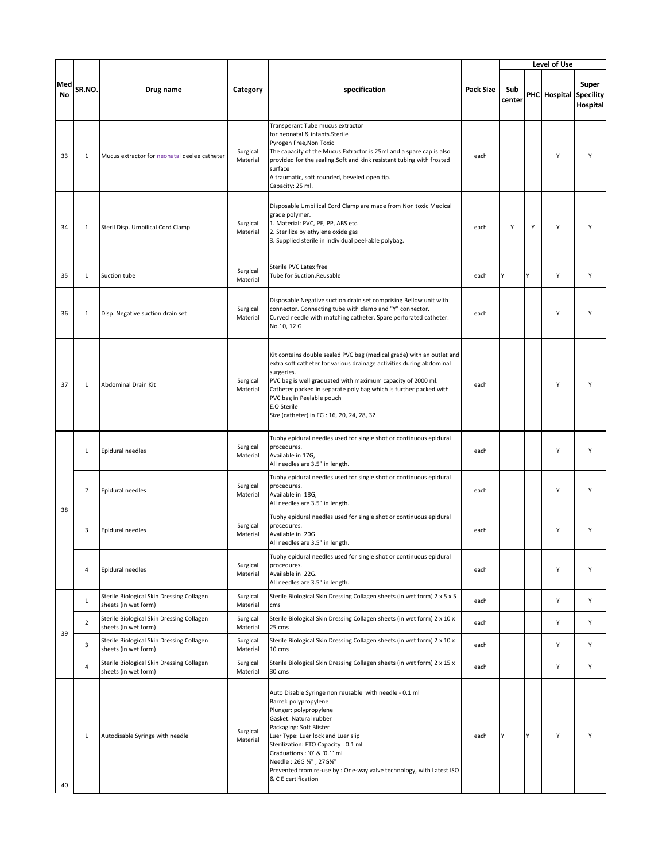|                  |                |                                                                   |                      |                                                                                                                                                                                                                                                                                                                                                                                                     |                  |               |   | Level of Use                  |                   |
|------------------|----------------|-------------------------------------------------------------------|----------------------|-----------------------------------------------------------------------------------------------------------------------------------------------------------------------------------------------------------------------------------------------------------------------------------------------------------------------------------------------------------------------------------------------------|------------------|---------------|---|-------------------------------|-------------------|
| Med<br><b>No</b> | SR.NO.         | Drug name                                                         | Category             | specification                                                                                                                                                                                                                                                                                                                                                                                       | <b>Pack Size</b> | Sub<br>center |   | <b>PHC</b> Hospital Specility | Super<br>Hospital |
| 33               | $\mathbf{1}$   | Mucus extractor for neonatal deelee catheter                      | Surgical<br>Material | Transperant Tube mucus extractor<br>for neonatal & infants.Sterile<br>Pyrogen Free, Non Toxic<br>The capacity of the Mucus Extractor is 25ml and a spare cap is also<br>provided for the sealing.Soft and kink resistant tubing with frosted<br>surface<br>A traumatic, soft rounded, beveled open tip.<br>Capacity: 25 ml.                                                                         | each             |               |   | Y                             | Υ                 |
| 34               | $\mathbf{1}$   | Steril Disp. Umbilical Cord Clamp                                 | Surgical<br>Material | Disposable Umbilical Cord Clamp are made from Non toxic Medical<br>grade polymer.<br>1. Material: PVC, PE, PP, ABS etc.<br>2. Sterilize by ethylene oxide gas<br>3. Supplied sterile in individual peel-able polybag.                                                                                                                                                                               | each             | Υ             | Υ | Y                             | γ                 |
| 35               | $\mathbf{1}$   | Suction tube                                                      | Surgical<br>Material | Sterile PVC Latex free<br>Tube for Suction.Reusable                                                                                                                                                                                                                                                                                                                                                 | each             | γ             | Y | Y                             | Y                 |
| 36               | $\mathbf{1}$   | Disp. Negative suction drain set                                  | Surgical<br>Material | Disposable Negative suction drain set comprising Bellow unit with<br>connector. Connecting tube with clamp and "Y" connector.<br>Curved needle with matching catheter. Spare perforated catheter.<br>No.10, 12 G                                                                                                                                                                                    | each             |               |   | Y                             |                   |
| 37               | 1              | <b>Abdominal Drain Kit</b>                                        | Surgical<br>Material | Kit contains double sealed PVC bag (medical grade) with an outlet and<br>extra soft catheter for various drainage activities during abdominal<br>surgeries.<br>PVC bag is well graduated with maximum capacity of 2000 ml.<br>Catheter packed in separate poly bag which is further packed with<br>PVC bag in Peelable pouch<br>E.O Sterile<br>Size (catheter) in FG : 16, 20, 24, 28, 32           | each             |               |   | Y                             | ٧                 |
|                  | 1              | Epidural needles                                                  | Surgical<br>Material | Tuohy epidural needles used for single shot or continuous epidural<br>procedures.<br>Available in 17G,<br>All needles are 3.5" in length.                                                                                                                                                                                                                                                           | each             |               |   | Y                             | Y                 |
|                  | 2              | Epidural needles                                                  | Surgical<br>Material | Tuohy epidural needles used for single shot or continuous epidural<br>procedures.<br>Available in 18G,<br>All needles are 3.5" in length.                                                                                                                                                                                                                                                           | each             |               |   | Y                             | Y                 |
| 38               | 3              | Epidural needles                                                  | Surgical<br>Material | Tuohy epidural needles used for single shot or continuous epidural<br>procedures.<br>Available in 20G<br>All needles are 3.5" in length.                                                                                                                                                                                                                                                            | each             |               |   | Y                             | Y                 |
|                  | 4              | Epidural needles                                                  | Surgical<br>Material | Tuohy epidural needles used for single shot or continuous epidural<br>procedures.<br>Available in 22G.<br>All needles are 3.5" in length.                                                                                                                                                                                                                                                           | each             |               |   | Y                             | Y                 |
|                  | $\mathbf{1}$   | Sterile Biological Skin Dressing Collagen<br>sheets (in wet form) | Surgical<br>Material | Sterile Biological Skin Dressing Collagen sheets (in wet form) 2 x 5 x 5<br>cms                                                                                                                                                                                                                                                                                                                     | each             |               |   | Υ                             | Υ                 |
| 39               | $\overline{2}$ | Sterile Biological Skin Dressing Collagen<br>sheets (in wet form) | Surgical<br>Material | Sterile Biological Skin Dressing Collagen sheets (in wet form) 2 x 10 x<br>25 cms                                                                                                                                                                                                                                                                                                                   | each             |               |   | Υ                             | Υ                 |
|                  | 3              | Sterile Biological Skin Dressing Collagen<br>sheets (in wet form) | Surgical<br>Material | Sterile Biological Skin Dressing Collagen sheets (in wet form) 2 x 10 x<br>10 cms                                                                                                                                                                                                                                                                                                                   | each             |               |   | Υ                             | Υ                 |
|                  | 4              | Sterile Biological Skin Dressing Collagen<br>sheets (in wet form) | Surgical<br>Material | Sterile Biological Skin Dressing Collagen sheets (in wet form) 2 x 15 x<br>30 cms                                                                                                                                                                                                                                                                                                                   | each             |               |   | Υ                             | Υ                 |
| 40               | $\mathbf{1}$   | Autodisable Syringe with needle                                   | Surgical<br>Material | Auto Disable Syringe non reusable with needle - 0.1 ml<br>Barrel: polypropylene<br>Plunger: polypropylene<br>Gasket: Natural rubber<br>Packaging: Soft Blister<br>Luer Type: Luer lock and Luer slip<br>Sterilization: ETO Capacity : 0.1 ml<br>Graduations: '0' & '0.1' ml<br>Needle: 26G %", 27G%"<br>Prevented from re-use by : One-way valve technology, with Latest ISO<br>& C E certification | each             | Y             | Y | Υ                             | Υ                 |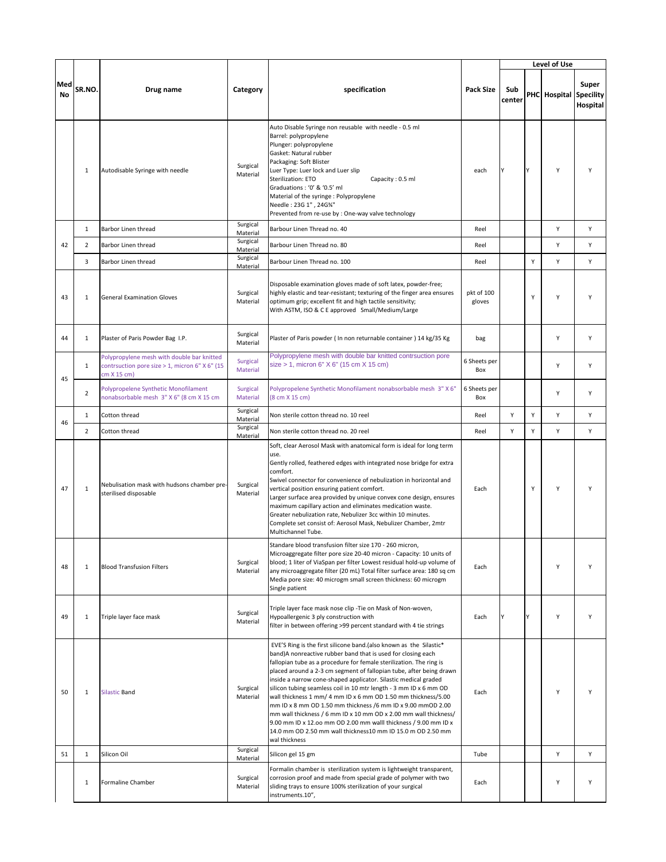|           |                |                                                                                                             |                             |                                                                                                                                                                                                                                                                                                                                                                                                                                                                                                                                                                                                                                                                                                                                                                                 |                      |               |   | Level of Use           |                   |
|-----------|----------------|-------------------------------------------------------------------------------------------------------------|-----------------------------|---------------------------------------------------------------------------------------------------------------------------------------------------------------------------------------------------------------------------------------------------------------------------------------------------------------------------------------------------------------------------------------------------------------------------------------------------------------------------------------------------------------------------------------------------------------------------------------------------------------------------------------------------------------------------------------------------------------------------------------------------------------------------------|----------------------|---------------|---|------------------------|-------------------|
| Med<br>No | SR.NO.         | Drug name                                                                                                   | Category                    | specification                                                                                                                                                                                                                                                                                                                                                                                                                                                                                                                                                                                                                                                                                                                                                                   | <b>Pack Size</b>     | Sub<br>center |   | PHC Hospital Specility | Super<br>Hospital |
|           | 1              | Autodisable Syringe with needle                                                                             | Surgical<br>Material        | Auto Disable Syringe non reusable with needle - 0.5 ml<br>Barrel: polypropylene<br>Plunger: polypropylene<br>Gasket: Natural rubber<br>Packaging: Soft Blister<br>Luer Type: Luer lock and Luer slip<br>Sterilization: ETO<br>Capacity: 0.5 ml<br>Graduations: '0' & '0.5' ml<br>Material of the syringe : Polypropylene<br>Needle: 23G 1", 24G%"<br>Prevented from re-use by : One-way valve technology                                                                                                                                                                                                                                                                                                                                                                        | each                 |               | Y | Y                      | Y                 |
|           | $\mathbf{1}$   | Barbor Linen thread                                                                                         | Surgical<br>Material        | Barbour Linen Thread no. 40                                                                                                                                                                                                                                                                                                                                                                                                                                                                                                                                                                                                                                                                                                                                                     | Reel                 |               |   | Υ                      | Υ                 |
| 42        | $\overline{2}$ | Barbor Linen thread                                                                                         | Surgical<br>Material        | Barbour Linen Thread no. 80                                                                                                                                                                                                                                                                                                                                                                                                                                                                                                                                                                                                                                                                                                                                                     | Reel                 |               |   | Υ                      | Υ                 |
|           | 3              | Barbor Linen thread                                                                                         | Surgical<br>Material        | Barbour Linen Thread no. 100                                                                                                                                                                                                                                                                                                                                                                                                                                                                                                                                                                                                                                                                                                                                                    | Reel                 |               | Y | Y                      | Y                 |
| 43        | $\mathbf{1}$   | <b>General Examination Gloves</b>                                                                           | Surgical<br>Material        | Disposable examination gloves made of soft latex, powder-free;<br>highly elastic and tear-resistant; texturing of the finger area ensures<br>optimum grip; excellent fit and high tactile sensitivity;<br>With ASTM, ISO & C E approved Small/Medium/Large                                                                                                                                                                                                                                                                                                                                                                                                                                                                                                                      | pkt of 100<br>gloves |               | Y | Y                      | Υ                 |
| 44        | $\mathbf{1}$   | Plaster of Paris Powder Bag I.P.                                                                            | Surgical<br>Material        | Plaster of Paris powder (In non returnable container) 14 kg/35 Kg                                                                                                                                                                                                                                                                                                                                                                                                                                                                                                                                                                                                                                                                                                               | bag                  |               |   | Y                      | Υ                 |
| 45        | $\mathbf{1}$   | Polypropylene mesh with double bar knitted<br>contrsuction pore size > 1, micron 6" X 6" (15<br>cm X 15 cm) | <b>Surgical</b><br>Material | Polypropylene mesh with double bar knitted contrsuction pore<br>size > 1, micron 6" X 6" (15 cm X 15 cm)                                                                                                                                                                                                                                                                                                                                                                                                                                                                                                                                                                                                                                                                        | 6 Sheets per<br>Box  |               |   | Y                      | Y                 |
|           | $\overline{2}$ | Polypropelene Synthetic Monofilament<br>nonabsorbable mesh 3" X 6" (8 cm X 15 cm                            | <b>Surgical</b><br>Material | Polypropelene Synthetic Monofilament nonabsorbable mesh 3" X 6"<br>(8 cm X 15 cm)                                                                                                                                                                                                                                                                                                                                                                                                                                                                                                                                                                                                                                                                                               | 6 Sheets per<br>Box  |               |   | Y                      | Y                 |
| 46        | $\mathbf{1}$   | Cotton thread                                                                                               | Surgical<br>Material        | Non sterile cotton thread no. 10 reel                                                                                                                                                                                                                                                                                                                                                                                                                                                                                                                                                                                                                                                                                                                                           | Reel                 | Υ             | Υ | Υ                      | Υ                 |
|           | $\overline{2}$ | Cotton thread                                                                                               | Surgical<br>Material        | Non sterile cotton thread no. 20 reel                                                                                                                                                                                                                                                                                                                                                                                                                                                                                                                                                                                                                                                                                                                                           | Reel                 | Y             | Y | Y                      | Y                 |
| 47        | $\mathbf{1}$   | Nebulisation mask with hudsons chamber pre-<br>sterilised disposable                                        | Surgical<br>Material        | Soft, clear Aerosol Mask with anatomical form is ideal for long term<br>use.<br>Gently rolled, feathered edges with integrated nose bridge for extra<br>comfort.<br>Swivel connector for convenience of nebulization in horizontal and<br>vertical position ensuring patient comfort.<br>Larger surface area provided by unique convex cone design, ensures<br>maximum capillary action and eliminates medication waste.<br>Greater nebulization rate, Nebulizer 3cc within 10 minutes.<br>Complete set consist of: Aerosol Mask, Nebulizer Chamber, 2mtr<br>Multichannel Tube.                                                                                                                                                                                                 | Each                 |               | Υ | Y                      | Υ                 |
| 48        | 1              | <b>Blood Transfusion Filters</b>                                                                            | Surgical<br>Material        | Standare blood transfusion filter size 170 - 260 micron,<br>Microaggregate filter pore size 20-40 micron - Capacity: 10 units of<br>blood; 1 liter of ViaSpan per filter Lowest residual hold-up volume of<br>any microaggregate filter (20 mL) Total filter surface area: 180 sq cm<br>Media pore size: 40 microgm small screen thickness: 60 microgm<br>Single patient                                                                                                                                                                                                                                                                                                                                                                                                        | Each                 |               |   | Y                      | Y                 |
| 49        | 1              | Triple layer face mask                                                                                      | Surgical<br>Material        | Triple layer face mask nose clip - Tie on Mask of Non-woven,<br>Hypoallergenic 3 ply construction with<br>filter in between offering >99 percent standard with 4 tie strings                                                                                                                                                                                                                                                                                                                                                                                                                                                                                                                                                                                                    | Each                 | Υ             | Υ | Υ                      | Υ                 |
| 50        | $\mathbf{1}$   | <b>Silastic Band</b>                                                                                        | Surgical<br>Material        | EVE'S Ring is the first silicone band.(also known as the Silastic*<br>band)A nonreactive rubber band that is used for closing each<br>fallopian tube as a procedure for female sterilization. The ring is<br>placed around a 2-3 cm segment of fallopian tube, after being drawn<br>inside a narrow cone-shaped applicator. Silastic medical graded<br>silicon tubing seamless coil in 10 mtr length - 3 mm ID x 6 mm OD<br>wall thickness 1 mm/ 4 mm ID x 6 mm OD 1.50 mm thickness/5.00<br>mm ID x 8 mm OD 1.50 mm thickness /6 mm ID x 9.00 mmOD 2.00<br>mm wall thickness / 6 mm ID x 10 mm OD x 2.00 mm wall thickness/<br>9.00 mm ID x 12.00 mm OD 2.00 mm walll thickness / 9.00 mm ID x<br>14.0 mm OD 2.50 mm wall thickness10 mm ID 15.0 m OD 2.50 mm<br>wal thickness | Each                 |               |   | Y                      | Υ                 |
| 51        | $\mathbf{1}$   | Silicon Oil                                                                                                 | Surgical<br>Material        | Silicon gel 15 gm                                                                                                                                                                                                                                                                                                                                                                                                                                                                                                                                                                                                                                                                                                                                                               | Tube                 |               |   | Υ                      | Υ                 |
|           | $\mathbf{1}$   | Formaline Chamber                                                                                           | Surgical<br>Material        | Formalin chamber is sterilization system is lightweight transparent,<br>corrosion proof and made from special grade of polymer with two<br>sliding trays to ensure 100% sterilization of your surgical<br>instruments.10",                                                                                                                                                                                                                                                                                                                                                                                                                                                                                                                                                      | Each                 |               |   | Υ                      | Υ                 |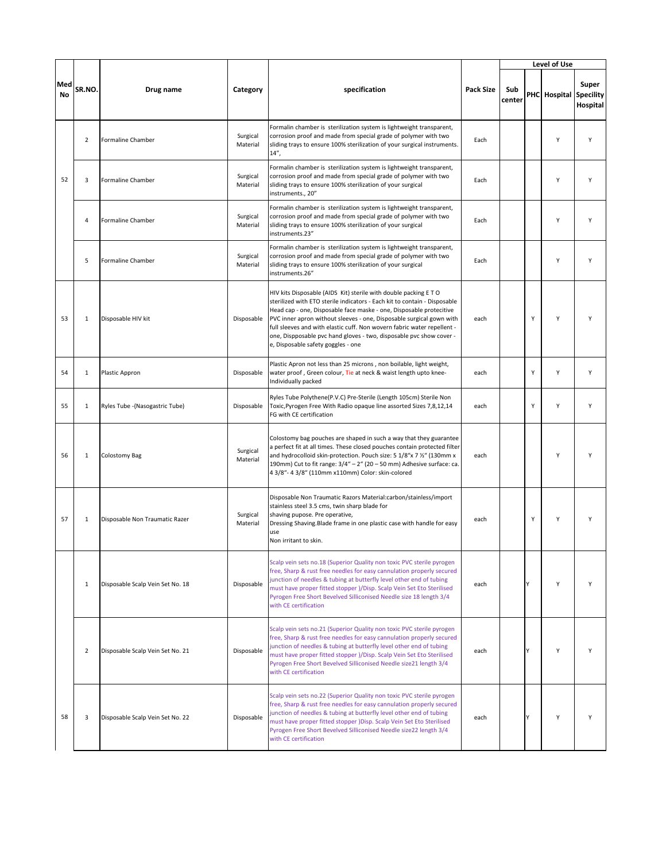|                  |                |                                  |                      |                                                                                                                                                                                                                                                                                                                                                                                                                                                                                    |                  |               |   | Level of Use           |                   |
|------------------|----------------|----------------------------------|----------------------|------------------------------------------------------------------------------------------------------------------------------------------------------------------------------------------------------------------------------------------------------------------------------------------------------------------------------------------------------------------------------------------------------------------------------------------------------------------------------------|------------------|---------------|---|------------------------|-------------------|
| Med<br><b>No</b> | SR.NO.         | Drug name                        | Category             | specification                                                                                                                                                                                                                                                                                                                                                                                                                                                                      | <b>Pack Size</b> | Sub<br>center |   | PHC Hospital Specility | Super<br>Hospital |
|                  | $\overline{2}$ | Formaline Chamber                | Surgical<br>Material | Formalin chamber is sterilization system is lightweight transparent,<br>corrosion proof and made from special grade of polymer with two<br>sliding trays to ensure 100% sterilization of your surgical instruments.<br>$14''$ ,                                                                                                                                                                                                                                                    | Each             |               |   | Υ                      | Y                 |
| 52               | 3              | <b>Formaline Chamber</b>         | Surgical<br>Material | Formalin chamber is sterilization system is lightweight transparent,<br>corrosion proof and made from special grade of polymer with two<br>sliding trays to ensure 100% sterilization of your surgical<br>instruments., 20"                                                                                                                                                                                                                                                        | Each             |               |   | Υ                      | Υ                 |
|                  | 4              | Formaline Chamber                | Surgical<br>Material | Formalin chamber is sterilization system is lightweight transparent,<br>corrosion proof and made from special grade of polymer with two<br>sliding trays to ensure 100% sterilization of your surgical<br>instruments.23"                                                                                                                                                                                                                                                          | Each             |               |   | Υ                      | Y                 |
|                  | 5              | Formaline Chamber                | Surgical<br>Material | Formalin chamber is sterilization system is lightweight transparent,<br>corrosion proof and made from special grade of polymer with two<br>sliding trays to ensure 100% sterilization of your surgical<br>instruments.26"                                                                                                                                                                                                                                                          | Each             |               |   | Υ                      | Y                 |
| 53               | $\mathbf{1}$   | Disposable HIV kit               | Disposable           | HIV kits Disposable (AIDS Kit) sterile with double packing ETO<br>sterilized with ETO sterile indicators - Each kit to contain - Disposable<br>Head cap - one, Disposable face maske - one, Disposable protecitive<br>PVC inner apron without sleeves - one, Disposable surgical gown with<br>full sleeves and with elastic cuff. Non wovern fabric water repellent -<br>one, Dispposable pvc hand gloves - two, disposable pvc show cover -<br>e, Disposable safety goggles - one | each             |               | Y | Υ                      |                   |
| 54               | $\mathbf{1}$   | Plastic Appron                   | Disposable           | Plastic Apron not less than 25 microns, non boilable, light weight,<br>water proof, Green colour, Tie at neck & waist length upto knee-<br>Individually packed                                                                                                                                                                                                                                                                                                                     | each             |               | Y | Y                      | Y                 |
| 55               | $\mathbf{1}$   | Ryles Tube -(Nasogastric Tube)   | Disposable           | Ryles Tube Polythene(P.V.C) Pre-Sterile (Length 105cm) Sterile Non<br>Toxic, Pyrogen Free With Radio opaque line assorted Sizes 7,8,12,14<br>FG with CE certification                                                                                                                                                                                                                                                                                                              | each             |               | Y | Υ                      | Y                 |
| 56               | $\mathbf{1}$   | <b>Colostomy Bag</b>             | Surgical<br>Material | Colostomy bag pouches are shaped in such a way that they guarantee<br>a perfect fit at all times. These closed pouches contain protected filter<br>and hydrocolloid skin-protection. Pouch size: 5 1/8"x 7 1/2" (130mm x<br>190mm) Cut to fit range: 3/4" - 2" (20 - 50 mm) Adhesive surface: ca.<br>4 3/8"- 4 3/8" (110mm x110mm) Color: skin-colored                                                                                                                             | each             |               |   | Υ                      | Υ                 |
| 57               | $\mathbf{1}$   | Disposable Non Traumatic Razer   | Surgical<br>Material | Disposable Non Traumatic Razors Material:carbon/stainless/import<br>stainless steel 3.5 cms, twin sharp blade for<br>shaving pupose. Pre operative,<br>Dressing Shaving. Blade frame in one plastic case with handle for easy<br>use<br>Non irritant to skin.                                                                                                                                                                                                                      | each             |               | Υ | Y                      | Υ                 |
|                  | $\mathbf{1}$   | Disposable Scalp Vein Set No. 18 | Disposable           | Scalp vein sets no.18 (Superior Quality non toxic PVC sterile pyrogen<br>free, Sharp & rust free needles for easy cannulation properly secured<br>junction of needles & tubing at butterfly level other end of tubing<br>must have proper fitted stopper )/Disp. Scalp Vein Set Eto Sterilised<br>Pyrogen Free Short Bevelved Silliconised Needle size 18 length 3/4<br>with CE certification                                                                                      | each             |               | ٧ | Y                      | Y                 |
|                  | $\overline{2}$ | Disposable Scalp Vein Set No. 21 | Disposable           | Scalp vein sets no.21 (Superior Quality non toxic PVC sterile pyrogen<br>free, Sharp & rust free needles for easy cannulation properly secured<br>junction of needles & tubing at butterfly level other end of tubing<br>must have proper fitted stopper )/Disp. Scalp Vein Set Eto Sterilised<br>Pyrogen Free Short Bevelved Silliconised Needle size21 length 3/4<br>with CE certification                                                                                       | each             |               | ٧ | Y                      | Υ                 |
| 58               | 3              | Disposable Scalp Vein Set No. 22 | Disposable           | Scalp vein sets no.22 (Superior Quality non toxic PVC sterile pyrogen<br>free, Sharp & rust free needles for easy cannulation properly secured<br>junction of needles & tubing at butterfly level other end of tubing<br>must have proper fitted stopper )Disp. Scalp Vein Set Eto Sterilised<br>Pyrogen Free Short Bevelved Silliconised Needle size22 length 3/4<br>with CE certification                                                                                        | each             |               |   | Y                      |                   |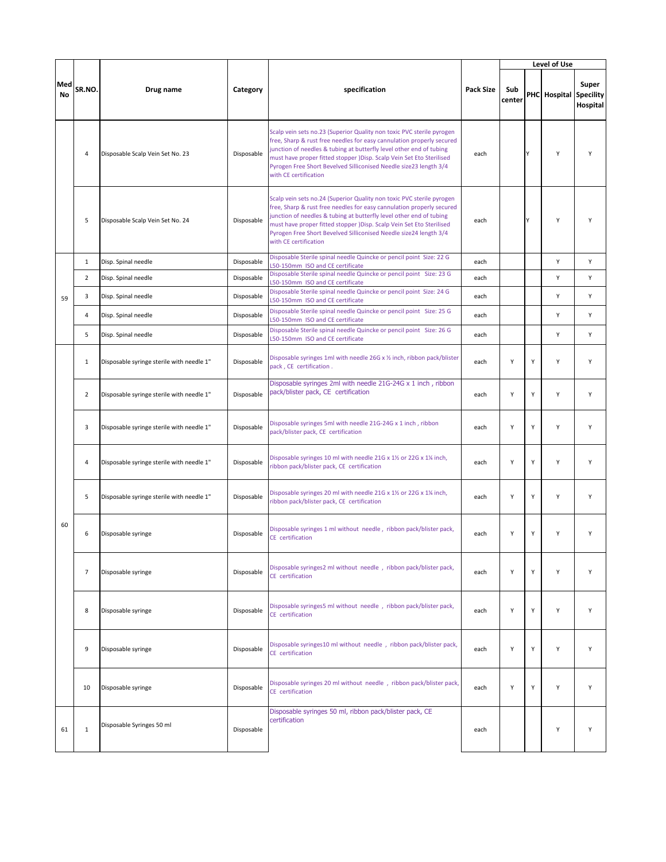|                  |                |                                           |            |                                                                                                                                                                                                                                                                                                                                                                                             |                  |               |   | Level of Use           |                   |
|------------------|----------------|-------------------------------------------|------------|---------------------------------------------------------------------------------------------------------------------------------------------------------------------------------------------------------------------------------------------------------------------------------------------------------------------------------------------------------------------------------------------|------------------|---------------|---|------------------------|-------------------|
| Med<br><b>No</b> | SR.NO.         | Drug name                                 | Category   | specification                                                                                                                                                                                                                                                                                                                                                                               | <b>Pack Size</b> | Sub<br>center |   | PHC Hospital Specility | Super<br>Hospital |
|                  | $\overline{a}$ | Disposable Scalp Vein Set No. 23          | Disposable | Scalp vein sets no.23 (Superior Quality non toxic PVC sterile pyrogen<br>free, Sharp & rust free needles for easy cannulation properly secured<br>junction of needles & tubing at butterfly level other end of tubing<br>must have proper fitted stopper )Disp. Scalp Vein Set Eto Sterilised<br>Pyrogen Free Short Bevelved Silliconised Needle size23 length 3/4<br>with CE certification | each             |               | Y | Y                      | Y                 |
|                  | 5              | Disposable Scalp Vein Set No. 24          | Disposable | Scalp vein sets no.24 (Superior Quality non toxic PVC sterile pyrogen<br>free, Sharp & rust free needles for easy cannulation properly secured<br>junction of needles & tubing at butterfly level other end of tubing<br>must have proper fitted stopper )Disp. Scalp Vein Set Eto Sterilised<br>Pyrogen Free Short Bevelved Silliconised Needle size24 length 3/4<br>with CE certification | each             |               | Υ | Y                      | Y                 |
|                  | $\mathbf{1}$   | Disp. Spinal needle                       | Disposable | Disposable Sterile spinal needle Quincke or pencil point Size: 22 G<br>L50-150mm ISO and CE certificate                                                                                                                                                                                                                                                                                     | each             |               |   | Υ                      | Y                 |
|                  | $\overline{2}$ | Disp. Spinal needle                       | Disposable | Disposable Sterile spinal needle Quincke or pencil point Size: 23 G<br>L50-150mm ISO and CE certificate                                                                                                                                                                                                                                                                                     | each             |               |   | Υ                      | Y                 |
| 59               | 3              | Disp. Spinal needle                       | Disposable | Disposable Sterile spinal needle Quincke or pencil point Size: 24 G<br>L50-150mm ISO and CE certificate                                                                                                                                                                                                                                                                                     | each             |               |   | Υ                      | Υ                 |
|                  | $\overline{4}$ | Disp. Spinal needle                       | Disposable | Disposable Sterile spinal needle Quincke or pencil point Size: 25 G<br>L50-150mm ISO and CE certificate                                                                                                                                                                                                                                                                                     | each             |               |   | Y                      | Y                 |
|                  | 5              | Disp. Spinal needle                       | Disposable | Disposable Sterile spinal needle Quincke or pencil point Size: 26 G<br>L50-150mm ISO and CE certificate                                                                                                                                                                                                                                                                                     | each             |               |   | Υ                      | Y                 |
|                  | $\mathbf{1}$   | Disposable syringe sterile with needle 1" | Disposable | Disposable syringes 1ml with needle 26G x 1/2 inch, ribbon pack/blister<br>pack, CE certification.                                                                                                                                                                                                                                                                                          | each             | Υ             | Y | Y                      | Υ                 |
|                  | $\overline{2}$ | Disposable syringe sterile with needle 1" | Disposable | Disposable syringes 2ml with needle 21G-24G x 1 inch, ribbon<br>pack/blister pack, CE certification                                                                                                                                                                                                                                                                                         | each             | Υ             | Y | Υ                      | Υ                 |
|                  | 3              | Disposable syringe sterile with needle 1" | Disposable | Disposable syringes 5ml with needle 21G-24G x 1 inch, ribbon<br>pack/blister pack, CE certification                                                                                                                                                                                                                                                                                         | each             | Υ             | Y | Υ                      | Υ                 |
|                  | $\overline{a}$ | Disposable syringe sterile with needle 1" | Disposable | Disposable syringes 10 ml with needle 21G x 11/2 or 22G x 11/4 inch,<br>ribbon pack/blister pack, CE certification                                                                                                                                                                                                                                                                          | each             | Y             | Y | Y                      | Y                 |
|                  | 5              | Disposable syringe sterile with needle 1" | Disposable | Disposable syringes 20 ml with needle 21G x 11/2 or 22G x 11/4 inch,<br>ribbon pack/blister pack, CE certification                                                                                                                                                                                                                                                                          | each             | Υ             | Y | Y                      | Y                 |
| 60               | 6              | Disposable syringe                        | Disposable | Disposable syringes 1 ml without needle, ribbon pack/blister pack,<br>CE certification                                                                                                                                                                                                                                                                                                      | each             | Y             | Y | Y                      | Y                 |
|                  | $\overline{7}$ | Disposable syringe                        | Disposable | Disposable syringes2 ml without needle, ribbon pack/blister pack,<br>CE certification                                                                                                                                                                                                                                                                                                       | each             | Υ             | Y | Υ                      | Υ                 |
|                  | 8              | Disposable syringe                        | Disposable | Disposable syringes5 ml without needle, ribbon pack/blister pack,<br>CE certification                                                                                                                                                                                                                                                                                                       | each             | Υ             | Y | Υ                      | Υ                 |
|                  | 9              | Disposable syringe                        | Disposable | Disposable syringes10 ml without needle, ribbon pack/blister pack,<br>CE certification                                                                                                                                                                                                                                                                                                      | each             | Υ             | Y | Υ                      | Υ                 |
|                  | 10             | Disposable syringe                        | Disposable | Disposable syringes 20 ml without needle, ribbon pack/blister pack,<br>CE certification                                                                                                                                                                                                                                                                                                     | each             | Υ             | Y | Y                      | Y                 |
| 61               | $\mathbf 1$    | Disposable Syringes 50 ml                 | Disposable | Disposable syringes 50 ml, ribbon pack/blister pack, CE<br>certification                                                                                                                                                                                                                                                                                                                    | each             |               |   | Y                      | Υ                 |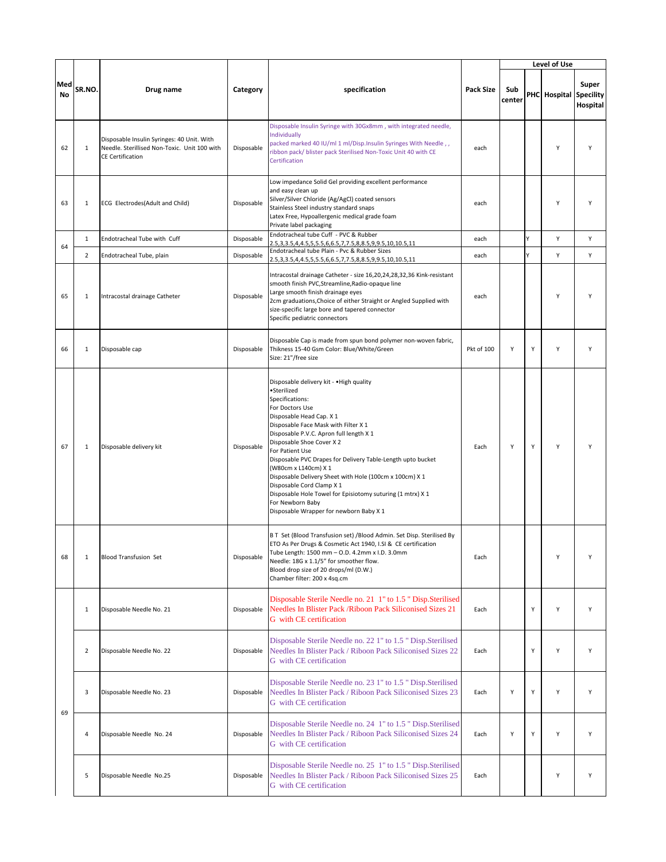|           |                |                                                                                                                       |            |                                                                                                                                                                                                                                                                                                                                                                                                                                                                                                                                                                          |            |               |   | Level of Use           |                   |
|-----------|----------------|-----------------------------------------------------------------------------------------------------------------------|------------|--------------------------------------------------------------------------------------------------------------------------------------------------------------------------------------------------------------------------------------------------------------------------------------------------------------------------------------------------------------------------------------------------------------------------------------------------------------------------------------------------------------------------------------------------------------------------|------------|---------------|---|------------------------|-------------------|
| Med<br>No | SR.NO.         | Drug name                                                                                                             | Category   | specification                                                                                                                                                                                                                                                                                                                                                                                                                                                                                                                                                            | Pack Size  | Sub<br>center |   | PHC Hospital Specility | Super<br>Hospital |
| 62        | $\mathbf{1}$   | Disposable Insulin Syringes: 40 Unit. With<br>Needle. Sterillised Non-Toxic. Unit 100 with<br><b>CE Certification</b> | Disposable | Disposable Insulin Syringe with 30Gx8mm, with integrated needle,<br>Individually<br>packed marked 40 IU/ml 1 ml/Disp.Insulin Syringes With Needle,,<br>ribbon pack/ blister pack Sterilised Non-Toxic Unit 40 with CE<br>Certification                                                                                                                                                                                                                                                                                                                                   | each       |               |   | Υ                      | Υ                 |
| 63        | $\mathbf{1}$   | ECG Electrodes(Adult and Child)                                                                                       | Disposable | Low impedance Solid Gel providing excellent performance<br>and easy clean up<br>Silver/Silver Chloride (Ag/AgCl) coated sensors<br>Stainless Steel industry standard snaps<br>Latex Free, Hypoallergenic medical grade foam<br>Private label packaging                                                                                                                                                                                                                                                                                                                   | each       |               |   | Υ                      | Υ                 |
| 64        | $\mathbf{1}$   | Endotracheal Tube with Cuff                                                                                           | Disposable | Endotracheal tube Cuff - PVC & Rubber<br>2.5, 3, 3.5, 4, 4.5, 5, 5.5, 6, 6.5, 7, 7.5, 8, 8.5, 9, 9.5, 10, 10.5, 11                                                                                                                                                                                                                                                                                                                                                                                                                                                       | each       |               | Ý | Υ                      | Υ                 |
|           | $\overline{2}$ | Endotracheal Tube, plain                                                                                              | Disposable | Endotracheal tube Plain - Pvc & Rubber Sizes<br>2.5, 3, 3.5, 4, 4.5, 5, 5.5, 6, 6.5, 7, 7.5, 8, 8.5, 9, 9.5, 10, 10.5, 11                                                                                                                                                                                                                                                                                                                                                                                                                                                | each       |               |   | Υ                      | Υ                 |
| 65        | 1              | Intracostal drainage Catheter                                                                                         | Disposable | Intracostal drainage Catheter - size 16,20,24,28,32,36 Kink-resistant<br>smooth finish PVC, Streamline, Radio-opaque line<br>Large smooth finish drainage eyes<br>2cm graduations, Choice of either Straight or Angled Supplied with<br>size-specific large bore and tapered connector<br>Specific pediatric connectors                                                                                                                                                                                                                                                  | each       |               |   | Y                      | Υ                 |
| 66        | $\mathbf{1}$   | Disposable cap                                                                                                        | Disposable | Disposable Cap is made from spun bond polymer non-woven fabric,<br>Thikness 15-40 Gsm Color: Blue/White/Green<br>Size: 21"/free size                                                                                                                                                                                                                                                                                                                                                                                                                                     | Pkt of 100 | Υ             | Υ | Y                      | Υ                 |
| 67        | 1              | Disposable delivery kit                                                                                               | Disposable | Disposable delivery kit - . High quality<br>•Sterilized<br>Specifications:<br>For Doctors Use<br>Disposable Head Cap. X 1<br>Disposable Face Mask with Filter X 1<br>Disposable P.V.C. Apron full length X 1<br>Disposable Shoe Cover X 2<br>For Patient Use<br>Disposable PVC Drapes for Delivery Table-Length upto bucket<br>(W80cm x L140cm) X 1<br>Disposable Delivery Sheet with Hole (100cm x 100cm) X 1<br>Disposable Cord Clamp X 1<br>Disposable Hole Towel for Episiotomy suturing (1 mtrx) X 1<br>For Newborn Baby<br>Disposable Wrapper for newborn Baby X 1 | Each       | Υ             | Υ | Y                      |                   |
| 68        | $1\,$          | <b>Blood Transfusion Set</b>                                                                                          | Disposable | B T Set (Blood Transfusion set) /Blood Admin. Set Disp. Sterilised By<br>ETO As Per Drugs & Cosmetic Act 1940, I.SI & CE certification<br>Tube Length: 1500 mm - O.D. 4.2mm x I.D. 3.0mm<br>Needle: 18G x 1.1/5" for smoother flow.<br>Blood drop size of 20 drops/ml (D.W.)<br>Chamber filter: 200 x 4sq.cm                                                                                                                                                                                                                                                             | Each       |               |   | Y                      | Y                 |
|           | $\mathbf{1}$   | Disposable Needle No. 21                                                                                              | Disposable | Disposable Sterile Needle no. 21 1" to 1.5 " Disp.Sterilised<br>Needles In Blister Pack / Riboon Pack Siliconised Sizes 21<br>G with CE certification                                                                                                                                                                                                                                                                                                                                                                                                                    | Each       |               | Υ | Y                      | Y                 |
|           | $\overline{2}$ | Disposable Needle No. 22                                                                                              | Disposable | Disposable Sterile Needle no. 22 1" to 1.5 " Disp.Sterilised<br>Needles In Blister Pack / Riboon Pack Siliconised Sizes 22<br>G with CE certification                                                                                                                                                                                                                                                                                                                                                                                                                    | Each       |               | Υ | Υ                      | Υ                 |
| 69        | 3              | Disposable Needle No. 23                                                                                              | Disposable | Disposable Sterile Needle no. 23 1" to 1.5 " Disp.Sterilised<br>Needles In Blister Pack / Riboon Pack Siliconised Sizes 23<br>G with CE certification                                                                                                                                                                                                                                                                                                                                                                                                                    | Each       | Υ             | Υ | Υ                      | Υ                 |
|           | 4              | Disposable Needle No. 24                                                                                              | Disposable | Disposable Sterile Needle no. 24 1" to 1.5 " Disp.Sterilised<br>Needles In Blister Pack / Riboon Pack Siliconised Sizes 24<br>G with CE certification                                                                                                                                                                                                                                                                                                                                                                                                                    | Each       | Υ             | Υ | Υ                      | Y                 |
|           | 5              | Disposable Needle No.25                                                                                               | Disposable | Disposable Sterile Needle no. 25 1" to 1.5 " Disp.Sterilised<br>Needles In Blister Pack / Riboon Pack Siliconised Sizes 25<br>G with CE certification                                                                                                                                                                                                                                                                                                                                                                                                                    | Each       |               |   | Υ                      | Υ                 |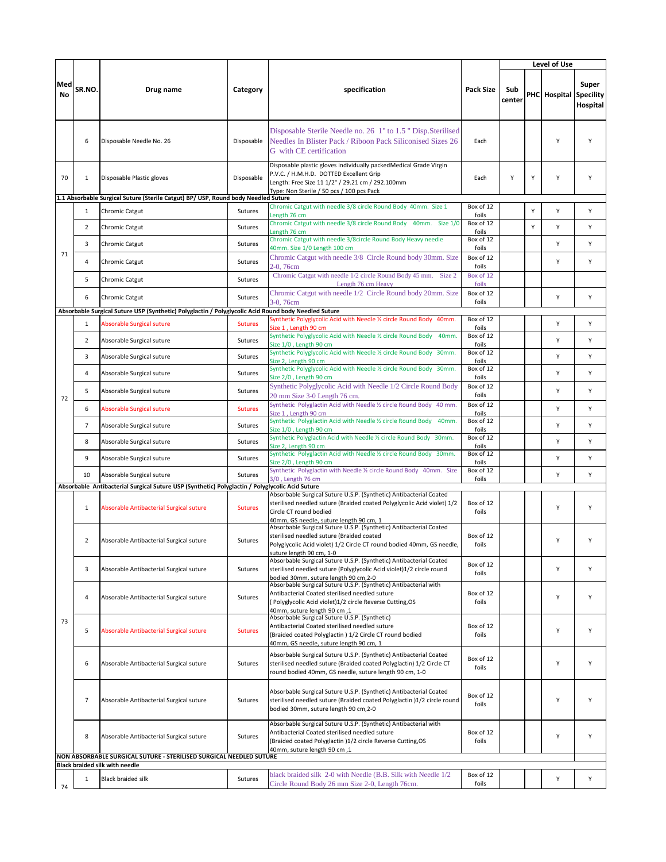|           |                |                                                                                                              |                |                                                                                                                                                                                                                      | Level of Use                |               |   |              |                                       |
|-----------|----------------|--------------------------------------------------------------------------------------------------------------|----------------|----------------------------------------------------------------------------------------------------------------------------------------------------------------------------------------------------------------------|-----------------------------|---------------|---|--------------|---------------------------------------|
| Med<br>No | SR.NO.         | Drug name                                                                                                    | Category       | specification                                                                                                                                                                                                        | <b>Pack Size</b>            | Sub<br>center |   | PHC Hospital | Super<br><b>Specility</b><br>Hospital |
|           | 6              | Disposable Needle No. 26                                                                                     | Disposable     | Disposable Sterile Needle no. 26 1" to 1.5 " Disp. Sterilised<br>Needles In Blister Pack / Riboon Pack Siliconised Sizes 26<br>G with CE certification                                                               | Each                        |               |   | Y            | Y                                     |
| 70        | $\mathbf{1}$   | Disposable Plastic gloves                                                                                    | Disposable     | Disposable plastic gloves individually packedMedical Grade Virgin<br>P.V.C. / H.M.H.D. DOTTED Excellent Grip<br>Length: Free Size 11 1/2" / 29.21 cm / 292.100mm<br>Type: Non Sterile / 50 pcs / 100 pcs Pack        | Each                        | Υ             | Υ | Υ            | Υ                                     |
|           |                | 1.1 Absorbable Surgical Suture (Sterile Catgut) BP/ USP, Round body Needled Suture                           |                |                                                                                                                                                                                                                      |                             |               |   |              |                                       |
|           | $\mathbf{1}$   | Chromic Catgut                                                                                               | Sutures        | Chromic Catgut with needle 3/8 circle Round Body 40mm. Size 1<br>Length 76 cm                                                                                                                                        | Box of 12<br>foils          |               | Y | Υ            | Y                                     |
|           | $\overline{2}$ | Chromic Catgut                                                                                               | Sutures        | Chromic Catgut with needle 3/8 circle Round Body 40mm. Size 1/0<br>Length 76 cm                                                                                                                                      | Box of 12<br>foils          |               | Y | Y            | Υ                                     |
|           | 3              | Chromic Catgut                                                                                               | Sutures        | Chromic Catgut with needle 3/8circle Round Body Heavy needle                                                                                                                                                         | Box of 12                   |               |   | Υ            | Υ                                     |
| 71        | 4              | Chromic Catgut                                                                                               | Sutures        | 40mm. Size 1/0 Length 100 cm<br>Chromic Catgut with needle 3/8 Circle Round body 30mm. Size<br>2-0, 76cm                                                                                                             | foils<br>Box of 12<br>foils |               |   | Y            | Y                                     |
|           | 5              | Chromic Catgut                                                                                               | Sutures        | Chromic Catgut with needle 1/2 circle Round Body 45 mm. Size 2<br>Length 76 cm Heavy                                                                                                                                 | Box of 12<br>foils          |               |   |              |                                       |
|           | 6              | Chromic Catgut                                                                                               | Sutures        | Chromic Catgut with needle 1/2 Circle Round body 20mm. Size<br>3-0, 76cm                                                                                                                                             | Box of 12<br>foils          |               |   | Υ            | Υ                                     |
|           |                | Absorbable Surgical Suture USP (Synthetic) Polyglactin / Polyglycolic Acid Round body Needled Suture         |                | Synthetic Polyglycolic Acid with Needle % circle Round Body 40mm.                                                                                                                                                    |                             |               |   |              |                                       |
|           | $\mathbf{1}$   | <b>Absorable Surgical suture</b>                                                                             | <b>Sutures</b> | Size 1, Length 90 cm                                                                                                                                                                                                 | Box of 12<br>foils          |               |   | Υ            | Υ                                     |
|           | $\overline{2}$ | Absorable Surgical suture                                                                                    | Sutures        | Synthetic Polyglycolic Acid with Needle 1/2 circle Round Body<br>40mm.<br>Size 1/0, Length 90 cm                                                                                                                     | Box of 12<br>foils          |               |   | Υ            | Y                                     |
|           | 3              | Absorable Surgical suture                                                                                    | Sutures        | Synthetic Polyglycolic Acid with Needle 1/2 circle Round Body 30mm.<br>Size 2, Length 90 cm                                                                                                                          | Box of 12<br>foils          |               |   | Υ            | Y                                     |
|           | $\overline{a}$ | Absorable Surgical suture                                                                                    | Sutures        | Synthetic Polyglycolic Acid with Needle 1/2 circle Round Body 30mm.<br>Size 2/0, Length 90 cm                                                                                                                        | Box of 12<br>foils          |               |   | Υ            | Υ                                     |
|           | 5              | Absorable Surgical suture                                                                                    | Sutures        | Synthetic Polyglycolic Acid with Needle 1/2 Circle Round Body<br>20 mm Size 3-0 Length 76 cm.                                                                                                                        | Box of 12<br>foils          |               |   | Y            | Υ                                     |
| 72        | 6              | <b>Absorable Surgical suture</b>                                                                             | <b>Sutures</b> | Synthetic Polyglactin Acid with Needle 1/2 circle Round Body 40 mm.<br>Size 1, Length 90 cm                                                                                                                          | Box of 12<br>foils          |               |   | Υ            | Υ                                     |
|           | $\overline{7}$ | Absorable Surgical suture                                                                                    | Sutures        | Synthetic Polyglactin Acid with Needle 1/2 circle Round Body<br>40mm.                                                                                                                                                | Box of 12                   |               |   | Υ            | Υ                                     |
|           | 8              | Absorable Surgical suture                                                                                    | Sutures        | Size 1/0, Length 90 cm<br>Synthetic Polyglactin Acid with Needle 1/2 circle Round Body 30mm.                                                                                                                         | foils<br>Box of 12<br>foils |               |   | Υ            | Υ                                     |
|           | 9              | Absorable Surgical suture                                                                                    | Sutures        | Size 2, Length 90 cm<br>Synthetic Polyglactin Acid with Needle 1/2 circle Round Body 30mm.<br>Size 2/0, Length 90 cm                                                                                                 | Box of 12<br>foils          |               |   | Υ            | Υ                                     |
|           | 10             | Absorable Surgical suture                                                                                    | Sutures        | Synthetic Polyglactin with Needle 1/2 circle Round Body 40mm. Size<br>3/0, Length 76 cm                                                                                                                              | Box of 12<br>foils          |               |   | Υ            | Υ                                     |
|           |                | Absorbable Antibacterial Surgical Suture USP (Synthetic) Polyglactin / Polyglycolic Acid Suture              |                |                                                                                                                                                                                                                      |                             |               |   |              |                                       |
|           | 1              | Absorable Antibacterial Surgical suture                                                                      | <b>Sutures</b> | Absorbable Surgical Suture U.S.P. (Synthetic) Antibacterial Coated<br>sterilised needled suture (Braided coated Polyglycolic Acid violet) 1/2<br>Circle CT round bodied<br>40mm, GS needle, suture length 90 cm, 1   | Box of 12<br>foils          |               |   | Y            | Υ                                     |
|           | $\overline{2}$ | Absorable Antibacterial Surgical suture                                                                      | Sutures        | Absorbable Surgical Suture U.S.P. (Synthetic) Antibacterial Coated<br>sterilised needled suture (Braided coated<br>Polyglycolic Acid violet) 1/2 Circle CT round bodied 40mm, GS needle,<br>suture length 90 cm, 1-0 | Box of 12<br>foils          |               |   | Υ            | Υ                                     |
|           | 3              | Absorable Antibacterial Surgical suture                                                                      | Sutures        | Absorbable Surgical Suture U.S.P. (Synthetic) Antibacterial Coated<br>sterilised needled suture (Polyglycolic Acid violet)1/2 circle round<br>bodied 30mm, suture length 90 cm,2-0                                   | Box of 12<br>foils          |               |   | Υ            | Υ                                     |
|           | 4              | Absorable Antibacterial Surgical suture                                                                      | Sutures        | Absorbable Surgical Suture U.S.P. (Synthetic) Antibacterial with<br>Antibacterial Coated sterilised needled suture<br>(Polyglycolic Acid violet)1/2 circle Reverse Cutting,OS<br>40mm, suture length 90 cm .1        | Box of 12<br>foils          |               |   | Υ            | Υ                                     |
| 73        | 5              | Absorable Antibacterial Surgical suture                                                                      | <b>Sutures</b> | Absorbable Surgical Suture U.S.P. (Synthetic)<br>Antibacterial Coated sterilised needled suture<br>(Braided coated Polyglactin) 1/2 Circle CT round bodied<br>40mm, GS needle, suture length 90 cm, 1                | Box of 12<br>foils          |               |   | Υ            | Υ                                     |
|           | 6              | Absorable Antibacterial Surgical suture                                                                      | Sutures        | Absorbable Surgical Suture U.S.P. (Synthetic) Antibacterial Coated<br>sterilised needled suture (Braided coated Polyglactin) 1/2 Circle CT<br>round bodied 40mm, GS needle, suture length 90 cm, 1-0                 | Box of 12<br>foils          |               |   | Υ            | Υ                                     |
|           | $\overline{7}$ | Absorable Antibacterial Surgical suture                                                                      | Sutures        | Absorbable Surgical Suture U.S.P. (Synthetic) Antibacterial Coated<br>sterilised needled suture (Braided coated Polyglactin) 1/2 circle round<br>bodied 30mm, suture length 90 cm,2-0                                | Box of 12<br>foils          |               |   | Υ            | Υ                                     |
|           | 8              | Absorable Antibacterial Surgical suture                                                                      | Sutures        | Absorbable Surgical Suture U.S.P. (Synthetic) Antibacterial with<br>Antibacterial Coated sterilised needled suture<br>(Braided coated Polyglactin )1/2 circle Reverse Cutting, OS<br>40mm, suture length 90 cm,1     | Box of 12<br>foils          |               |   | Υ            | Υ                                     |
|           |                | NON ABSORBABLE SURGICAL SUTURE - STERILISED SURGICAL NEEDLED SUTURE<br><b>Black braided silk with needle</b> |                |                                                                                                                                                                                                                      |                             |               |   |              |                                       |
| 74        | $\mathbf{1}$   | <b>Black braided silk</b>                                                                                    | Sutures        | black braided silk 2-0 with Needle (B.B. Silk with Needle 1/2<br>Circle Round Body 26 mm Size 2-0, Length 76cm.                                                                                                      | Box of 12<br>foils          |               |   | Υ            | Υ                                     |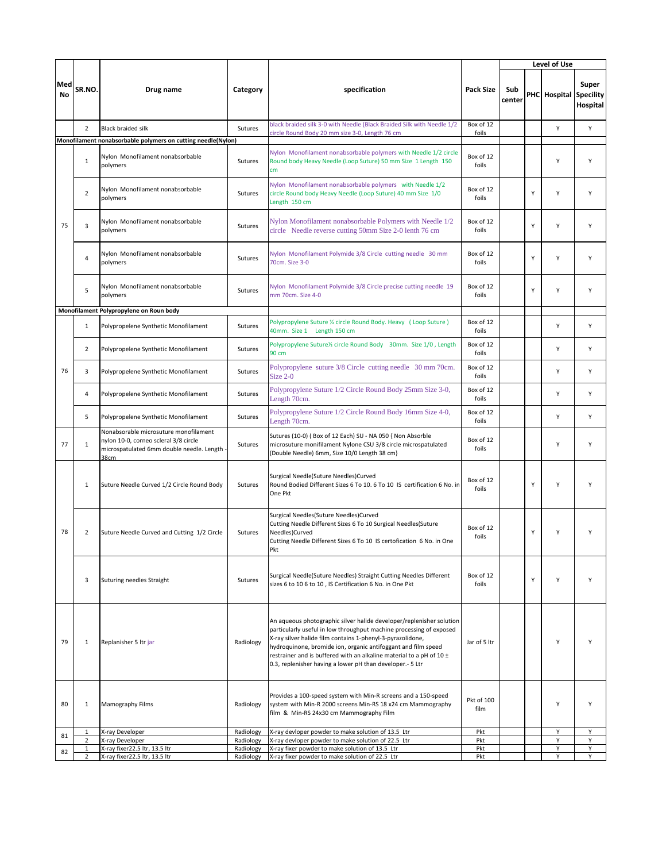|                  |                                |                                                                                                                                     |                        |                                                                                                                                                                                                                                                                                                                                                                                                                 |                    | Level of Use  |   |                               |                   |
|------------------|--------------------------------|-------------------------------------------------------------------------------------------------------------------------------------|------------------------|-----------------------------------------------------------------------------------------------------------------------------------------------------------------------------------------------------------------------------------------------------------------------------------------------------------------------------------------------------------------------------------------------------------------|--------------------|---------------|---|-------------------------------|-------------------|
| Med<br><b>No</b> | SR.NO.                         | Drug name                                                                                                                           | Category               | specification                                                                                                                                                                                                                                                                                                                                                                                                   | <b>Pack Size</b>   | Sub<br>center |   | <b>PHC</b> Hospital Specility | Super<br>Hospital |
|                  | $\overline{2}$                 | <b>Black braided silk</b>                                                                                                           | Sutures                | black braided silk 3-0 with Needle (Black Braided Silk with Needle 1/2<br>circle Round Body 20 mm size 3-0, Length 76 cm                                                                                                                                                                                                                                                                                        | Box of 12          |               |   | Υ                             | Υ                 |
|                  |                                | Monofilament nonabsorbable polymers on cutting needle(Nylon)                                                                        |                        |                                                                                                                                                                                                                                                                                                                                                                                                                 | foils              |               |   |                               |                   |
|                  | $\mathbf{1}$                   | Nylon Monofilament nonabsorbable<br>polymers                                                                                        | Sutures                | Nylon Monofilament nonabsorbable polymers with Needle 1/2 circle<br>Round body Heavy Needle (Loop Suture) 50 mm Size 1 Length 150<br>cm <sub>2</sub>                                                                                                                                                                                                                                                            | Box of 12<br>foils |               |   | Υ                             | Υ                 |
|                  | $\overline{2}$                 | Nylon Monofilament nonabsorbable<br>polymers                                                                                        | Sutures                | Nylon Monofilament nonabsorbable polymers with Needle 1/2<br>circle Round body Heavy Needle (Loop Suture) 40 mm Size 1/0<br>Length 150 cm                                                                                                                                                                                                                                                                       | Box of 12<br>foils |               | Υ | Υ                             | Υ                 |
| 75               | 3                              | Nylon Monofilament nonabsorbable<br>polymers                                                                                        | Sutures                | Nylon Monofilament nonabsorbable Polymers with Needle 1/2<br>circle Needle reverse cutting 50mm Size 2-0 lenth 76 cm                                                                                                                                                                                                                                                                                            | Box of 12<br>foils |               | Υ | Υ                             | Υ                 |
|                  | $\overline{4}$                 | Nylon Monofilament nonabsorbable<br>polymers                                                                                        | Sutures                | Nylon Monofilament Polymide 3/8 Circle cutting needle 30 mm<br>70cm. Size 3-0                                                                                                                                                                                                                                                                                                                                   | Box of 12<br>foils |               | Υ | Υ                             | Υ                 |
|                  | 5                              | Nylon Monofilament nonabsorbable<br>polymers                                                                                        | Sutures                | Nylon Monofilament Polymide 3/8 Circle precise cutting needle 19<br>mm 70cm. Size 4-0                                                                                                                                                                                                                                                                                                                           | Box of 12<br>foils |               | Υ | Υ                             | Υ                 |
|                  |                                | Monofilament Polypropylene on Roun body                                                                                             |                        |                                                                                                                                                                                                                                                                                                                                                                                                                 |                    |               |   |                               |                   |
|                  | $\mathbf{1}$                   | Polypropelene Synthetic Monofilament                                                                                                | Sutures                | Polypropylene Suture 1/2 circle Round Body. Heavy (Loop Suture)<br>40mm. Size 1 Length 150 cm                                                                                                                                                                                                                                                                                                                   | Box of 12<br>foils |               |   | Y                             | Y                 |
|                  | $\overline{2}$                 | Polypropelene Synthetic Monofilament                                                                                                | Sutures                | Polypropylene Suture% circle Round Body 30mm. Size 1/0, Length<br>90 cm                                                                                                                                                                                                                                                                                                                                         | Box of 12<br>foils |               |   | Υ                             | Υ                 |
| 76               | 3                              | Polypropelene Synthetic Monofilament                                                                                                | Sutures                | Polypropylene suture 3/8 Circle cutting needle 30 mm 70cm.<br>Size $2-0$                                                                                                                                                                                                                                                                                                                                        | Box of 12<br>foils |               |   | Y                             | Υ                 |
|                  | 4                              | Polypropelene Synthetic Monofilament                                                                                                | Sutures                | Polypropylene Suture 1/2 Circle Round Body 25mm Size 3-0,<br>Length 70cm.                                                                                                                                                                                                                                                                                                                                       | Box of 12<br>foils |               |   | Υ                             | Υ                 |
|                  | 5                              | Polypropelene Synthetic Monofilament                                                                                                | Sutures                | Polypropylene Suture 1/2 Circle Round Body 16mm Size 4-0,<br>Length 70cm.                                                                                                                                                                                                                                                                                                                                       | Box of 12<br>foils |               |   | Y                             | Υ                 |
| 77               | $\mathbf{1}$                   | Nonabsorable microsuture monofilament<br>nylon 10-0, corneo scleral 3/8 circle<br>microspatulated 6mm double needle. Length<br>38cm | Sutures                | Sutures (10-0) (Box of 12 Each) SU - NA 050 { Non Absorble<br>microsuture monifilament Nylone CSU 3/8 circle microspatulated<br>(Double Needle) 6mm, Size 10/0 Length 38 cm}                                                                                                                                                                                                                                    | Box of 12<br>foils |               |   | Y                             | Y                 |
|                  | $\mathbf{1}$                   | Suture Needle Curved 1/2 Circle Round Body                                                                                          | Sutures                | Surgical Needle(Suture Needles)Curved<br>Round Bodied Different Sizes 6 To 10, 6 To 10 IS certification 6 No. in<br>One Pkt                                                                                                                                                                                                                                                                                     | Box of 12<br>foils |               | Y | Y                             | Υ                 |
| 78               | $\overline{2}$                 | Suture Needle Curved and Cutting 1/2 Circle                                                                                         | Sutures                | Surgical Needles(Suture Needles)Curved<br>Cutting Needle Different Sizes 6 To 10 Surgical Needles(Suture<br>Needles)Curved<br>Cutting Needle Different Sizes 6 To 10 IS certofication 6 No. in One<br>Pkt                                                                                                                                                                                                       | Box of 12<br>foils |               | Υ | Y                             | Υ                 |
|                  | 3                              | Suturing needles Straight                                                                                                           | Sutures                | Surgical Needle(Suture Needles) Straight Cutting Needles Different<br>sizes 6 to 10 6 to 10, IS Certification 6 No. in One Pkt                                                                                                                                                                                                                                                                                  | Box of 12<br>foils |               | Υ | Y                             | Υ                 |
| 79               | 1                              | Replanisher 5 Itr jar                                                                                                               | Radiology              | An aqueous photographic silver halide developer/replenisher solution<br>particularly useful in low throughput machine processing of exposed<br>X-ray silver halide film contains 1-phenyl-3-pyrazolidone,<br>hydroquinone, bromide ion, organic antifoggant and film speed<br>restrainer and is buffered with an alkaline material to a pH of 10 ±<br>0.3, replenisher having a lower pH than developer.- 5 Ltr | Jar of 5 ltr       |               |   | Y                             | Y                 |
| 80               | $\mathbf{1}$                   | <b>Mamography Films</b>                                                                                                             | Radiology              | Provides a 100-speed system with Min-R screens and a 150-speed<br>system with Min-R 2000 screens Min-RS 18 x24 cm Mammography<br>film & Min-RS 24x30 cm Mammography Film                                                                                                                                                                                                                                        | Pkt of 100<br>film |               |   | Υ                             | Υ                 |
| 81               | 1                              | X-ray Developer                                                                                                                     | Radiology              | X-ray devloper powder to make solution of 13.5 Ltr                                                                                                                                                                                                                                                                                                                                                              | Pkt                |               |   | Υ                             | Υ                 |
|                  | $\overline{2}$                 | X-ray Developer                                                                                                                     | Radiology              | X-ray devloper powder to make solution of 22.5 Ltr                                                                                                                                                                                                                                                                                                                                                              | Pkt                |               |   | Υ                             | Υ                 |
| 82               | $\mathbf{1}$<br>$\overline{2}$ | X-ray fixer22.5 ltr, 13.5 ltr<br>X-ray fixer22.5 ltr, 13.5 ltr                                                                      | Radiology<br>Radiology | X-ray fixer powder to make solution of 13.5 Ltr<br>X-ray fixer powder to make solution of 22.5 Ltr                                                                                                                                                                                                                                                                                                              | Pkt<br>Pkt         |               |   | Υ<br>Υ                        | Υ<br>Y            |
|                  |                                |                                                                                                                                     |                        |                                                                                                                                                                                                                                                                                                                                                                                                                 |                    |               |   |                               |                   |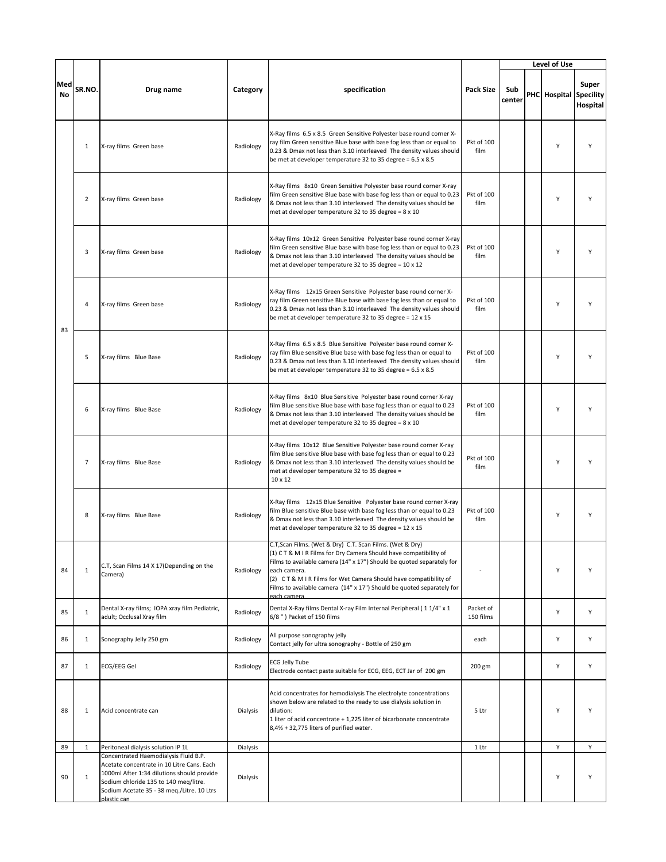|                  |                |                                                                                                                                                                                                                                         |           |                                                                                                                                                                                                                                                                                                                                                                                     |                        |               |  | Level of Use           |                   |  |
|------------------|----------------|-----------------------------------------------------------------------------------------------------------------------------------------------------------------------------------------------------------------------------------------|-----------|-------------------------------------------------------------------------------------------------------------------------------------------------------------------------------------------------------------------------------------------------------------------------------------------------------------------------------------------------------------------------------------|------------------------|---------------|--|------------------------|-------------------|--|
| Med<br><b>No</b> | SR.NO.         | Drug name                                                                                                                                                                                                                               | Category  | specification                                                                                                                                                                                                                                                                                                                                                                       | <b>Pack Size</b>       | Sub<br>center |  | PHC Hospital Specility | Super<br>Hospital |  |
|                  | $\mathbf{1}$   | X-ray films Green base                                                                                                                                                                                                                  | Radiology | X-Ray films 6.5 x 8.5 Green Sensitive Polyester base round corner X-<br>ray film Green sensitive Blue base with base fog less than or equal to<br>0.23 & Dmax not less than 3.10 interleaved The density values should<br>be met at developer temperature 32 to 35 degree = 6.5 x 8.5                                                                                               | Pkt of 100<br>film     |               |  | Υ                      | Y                 |  |
|                  | $\overline{2}$ | X-ray films Green base                                                                                                                                                                                                                  | Radiology | X-Ray films 8x10 Green Sensitive Polyester base round corner X-ray<br>film Green sensitive Blue base with base fog less than or equal to 0.23<br>& Dmax not less than 3.10 interleaved The density values should be<br>met at developer temperature 32 to 35 degree = 8 x 10                                                                                                        | Pkt of 100<br>film     |               |  | Υ                      | Υ                 |  |
|                  | 3              | X-ray films Green base                                                                                                                                                                                                                  | Radiology | X-Ray films 10x12 Green Sensitive Polyester base round corner X-ray<br>film Green sensitive Blue base with base fog less than or equal to 0.23<br>& Dmax not less than 3.10 interleaved The density values should be<br>met at developer temperature 32 to 35 degree = 10 x 12                                                                                                      | Pkt of 100<br>film     |               |  | Y                      | Υ                 |  |
| 83               | $\overline{4}$ | X-ray films Green base                                                                                                                                                                                                                  | Radiology | X-Ray films 12x15 Green Sensitive Polyester base round corner X-<br>ray film Green sensitive Blue base with base fog less than or equal to<br>0.23 & Dmax not less than 3.10 interleaved The density values should<br>be met at developer temperature 32 to 35 degree = 12 x 15                                                                                                     | Pkt of 100<br>film     |               |  | Y                      | Y                 |  |
|                  | 5              | X-ray films Blue Base                                                                                                                                                                                                                   | Radiology | X-Ray films 6.5 x 8.5 Blue Sensitive Polyester base round corner X-<br>ray film Blue sensitive Blue base with base fog less than or equal to<br>0.23 & Dmax not less than 3.10 interleaved The density values should<br>be met at developer temperature 32 to 35 degree = 6.5 x 8.5                                                                                                 | Pkt of 100<br>film     |               |  | Υ                      | Y                 |  |
|                  | 6              | X-ray films Blue Base                                                                                                                                                                                                                   | Radiology | X-Ray films 8x10 Blue Sensitive Polyester base round corner X-ray<br>film Blue sensitive Blue base with base fog less than or equal to 0.23<br>& Dmax not less than 3.10 interleaved The density values should be<br>met at developer temperature 32 to 35 degree = 8 x 10                                                                                                          | Pkt of 100<br>film     |               |  | Υ                      | Y                 |  |
|                  | $\overline{7}$ | X-ray films Blue Base                                                                                                                                                                                                                   | Radiology | X-Ray films 10x12 Blue Sensitive Polyester base round corner X-ray<br>film Blue sensitive Blue base with base fog less than or equal to 0.23<br>& Dmax not less than 3.10 interleaved The density values should be<br>met at developer temperature 32 to 35 degree =<br>10 x 12                                                                                                     | Pkt of 100<br>film     |               |  | Υ                      | Y                 |  |
|                  | 8              | X-ray films Blue Base                                                                                                                                                                                                                   | Radiology | X-Ray films 12x15 Blue Sensitive Polyester base round corner X-ray<br>film Blue sensitive Blue base with base fog less than or equal to 0.23<br>& Dmax not less than 3.10 interleaved The density values should be<br>met at developer temperature 32 to 35 degree = 12 x 15                                                                                                        | Pkt of 100<br>film     |               |  | Υ                      | Y                 |  |
| 84               | $\mathbf 1$    | C.T, Scan Films 14 X 17(Depending on the<br>Camera)                                                                                                                                                                                     | Radiology | C.T, Scan Films. (Wet & Dry) C.T. Scan Films. (Wet & Dry)<br>(1) C T & M I R Films for Dry Camera Should have compatibility of<br>Films to available camera (14" x 17") Should be quoted separately for<br>each camera.<br>(2) CT & M I R Films for Wet Camera Should have compatibility of<br>Films to available camera (14" x 17") Should be quoted separately for<br>each camera |                        |               |  | Υ                      | Y                 |  |
| 85               | $\mathbf{1}$   | Dental X-ray films; IOPA xray film Pediatric,<br>adult; Occlusal Xray film                                                                                                                                                              | Radiology | Dental X-Ray films Dental X-ray Film Internal Peripheral (11/4" x 1<br>6/8") Packet of 150 films                                                                                                                                                                                                                                                                                    | Packet of<br>150 films |               |  | Υ                      | Υ                 |  |
| 86               | $\mathbf{1}$   | Sonography Jelly 250 gm                                                                                                                                                                                                                 | Radiology | All purpose sonography jelly<br>Contact jelly for ultra sonography - Bottle of 250 gm                                                                                                                                                                                                                                                                                               | each                   |               |  | Υ                      | Υ                 |  |
| 87               | $\mathbf{1}$   | ECG/EEG Gel                                                                                                                                                                                                                             | Radiology | <b>ECG Jelly Tube</b><br>Electrode contact paste suitable for ECG, EEG, ECT Jar of 200 gm                                                                                                                                                                                                                                                                                           | 200 gm                 |               |  | Υ                      | Υ                 |  |
| 88               | 1              | Acid concentrate can                                                                                                                                                                                                                    | Dialysis  | Acid concentrates for hemodialysis The electrolyte concentrations<br>shown below are related to the ready to use dialysis solution in<br>dilution:<br>1 liter of acid concentrate + 1,225 liter of bicarbonate concentrate<br>8,4% + 32,775 liters of purified water.                                                                                                               | 5 Ltr                  |               |  | Υ                      | Υ                 |  |
| 89               | $\mathbf{1}$   | Peritoneal dialysis solution IP 1L                                                                                                                                                                                                      | Dialysis  |                                                                                                                                                                                                                                                                                                                                                                                     | 1 Ltr                  |               |  | Υ                      | Υ                 |  |
| 90               | $\mathbf{1}$   | Concentrated Haemodialysis Fluid B.P.<br>Acetate concentrate in 10 Litre Cans. Each<br>1000ml After 1:34 dilutions should provide<br>Sodium chloride 135 to 140 meg/litre.<br>Sodium Acetate 35 - 38 meg./Litre. 10 Ltrs<br>plastic can | Dialysis  |                                                                                                                                                                                                                                                                                                                                                                                     |                        |               |  | Υ                      | Y                 |  |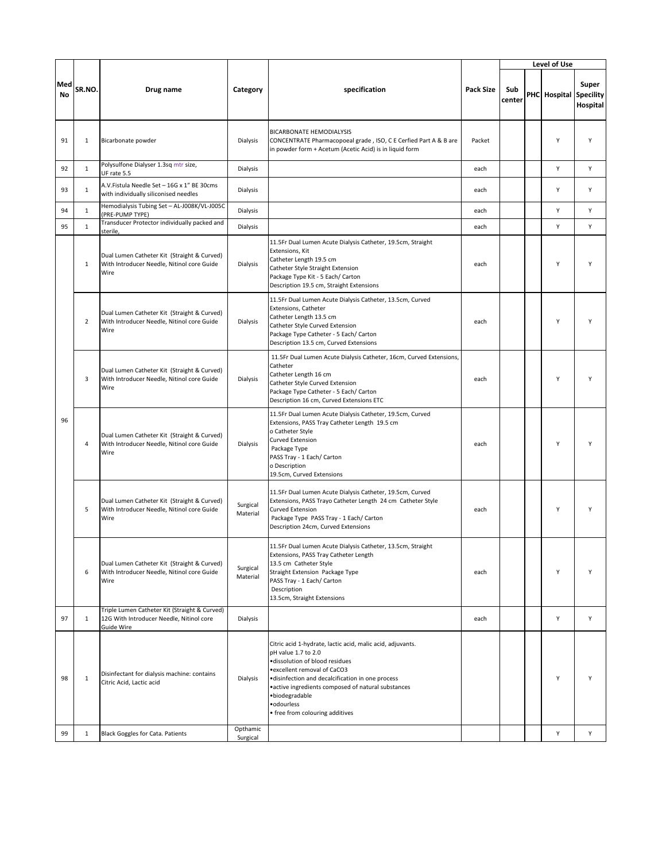|           |                |                                                                                                         |                      |                                                                                                                                                                                                                                                                                                                                   |                  |               |  | Level of Use           |                   |  |
|-----------|----------------|---------------------------------------------------------------------------------------------------------|----------------------|-----------------------------------------------------------------------------------------------------------------------------------------------------------------------------------------------------------------------------------------------------------------------------------------------------------------------------------|------------------|---------------|--|------------------------|-------------------|--|
| Med<br>No | SR.NO.         | Drug name                                                                                               | Category             | specification                                                                                                                                                                                                                                                                                                                     | <b>Pack Size</b> | Sub<br>center |  | PHC Hospital Specility | Super<br>Hospital |  |
| 91        | $\mathbf{1}$   | Bicarbonate powder                                                                                      | Dialysis             | <b>BICARBONATE HEMODIALYSIS</b><br>CONCENTRATE Pharmacopoeal grade, ISO, C E Cerfied Part A & B are<br>in powder form + Acetum (Acetic Acid) is in liquid form                                                                                                                                                                    | Packet           |               |  | Y                      | Y                 |  |
| 92        | 1              | Polysulfone Dialyser 1.3sq mtr size,<br>UF rate 5.5                                                     | Dialysis             |                                                                                                                                                                                                                                                                                                                                   | each             |               |  | Y                      | Υ                 |  |
| 93        | $\mathbf{1}$   | A.V.Fistula Needle Set - 16G x 1" BE 30cms<br>with individually siliconised needles                     | Dialysis             |                                                                                                                                                                                                                                                                                                                                   | each             |               |  | Y                      | Υ                 |  |
| 94        | $\mathbf{1}$   | Hemodialysis Tubing Set - AL-J008K/VL-J005C<br>(PRE-PUMP TYPE)                                          | Dialysis             |                                                                                                                                                                                                                                                                                                                                   | each             |               |  | Υ                      | Y                 |  |
| 95        | $\mathbf{1}$   | Transducer Protector individually packed and<br>sterile,                                                | Dialysis             |                                                                                                                                                                                                                                                                                                                                   | each             |               |  | Y                      | Υ                 |  |
| 96        | $\mathbf{1}$   | Dual Lumen Catheter Kit (Straight & Curved)<br>With Introducer Needle, Nitinol core Guide<br>Wire       | Dialysis             | 11.5Fr Dual Lumen Acute Dialysis Catheter, 19.5cm, Straight<br>Extensions, Kit<br>Catheter Length 19.5 cm<br>Catheter Style Straight Extension<br>Package Type Kit - 5 Each/ Carton<br>Description 19.5 cm, Straight Extensions                                                                                                   | each             |               |  | Υ                      | Υ                 |  |
|           | $\overline{2}$ | Dual Lumen Catheter Kit (Straight & Curved)<br>With Introducer Needle, Nitinol core Guide<br>Wire       | Dialysis             | 11.5Fr Dual Lumen Acute Dialysis Catheter, 13.5cm, Curved<br>Extensions, Catheter<br>Catheter Length 13.5 cm<br>Catheter Style Curved Extension<br>Package Type Catheter - 5 Each/ Carton<br>Description 13.5 cm, Curved Extensions                                                                                               | each             |               |  | Y                      | Υ                 |  |
|           | 3              | Dual Lumen Catheter Kit (Straight & Curved)<br>With Introducer Needle, Nitinol core Guide<br>Wire       | Dialysis             | 11.5Fr Dual Lumen Acute Dialysis Catheter, 16cm, Curved Extensions,<br>Catheter<br>Catheter Length 16 cm<br>Catheter Style Curved Extension<br>Package Type Catheter - 5 Each/ Carton<br>Description 16 cm, Curved Extensions ETC                                                                                                 | each             |               |  | Y                      |                   |  |
|           | 4              | Dual Lumen Catheter Kit (Straight & Curved)<br>With Introducer Needle, Nitinol core Guide<br>Wire       | Dialysis             | 11.5Fr Dual Lumen Acute Dialysis Catheter, 19.5cm, Curved<br>Extensions, PASS Tray Catheter Length 19.5 cm<br>o Catheter Style<br>Curved Extension<br>Package Type<br>PASS Tray - 1 Each/ Carton<br>o Description<br>19.5cm, Curved Extensions                                                                                    | each             |               |  | Y                      |                   |  |
|           | 5              | Dual Lumen Catheter Kit (Straight & Curved)<br>With Introducer Needle, Nitinol core Guide<br>Wire       | Surgical<br>Material | 11.5Fr Dual Lumen Acute Dialysis Catheter, 19.5cm, Curved<br>Extensions, PASS Trayo Catheter Length 24 cm Catheter Style<br>Curved Extension<br>Package Type PASS Tray - 1 Each/ Carton<br>Description 24cm, Curved Extensions                                                                                                    | each             |               |  | Y                      | Υ                 |  |
|           | 6              | Dual Lumen Catheter Kit (Straight & Curved)<br>With Introducer Needle, Nitinol core Guide<br>Wire       | Surgical<br>Material | 11.5Fr Dual Lumen Acute Dialysis Catheter, 13.5cm, Straight<br>Extensions, PASS Tray Catheter Length<br>13.5 cm Catheter Style<br>Straight Extension Package Type<br>PASS Tray - 1 Each/ Carton<br>Description<br>13.5cm, Straight Extensions                                                                                     | each             |               |  | Υ                      | Υ                 |  |
| 97        | $\mathbf{1}$   | Triple Lumen Catheter Kit (Straight & Curved)<br>12G With Introducer Needle, Nitinol core<br>Guide Wire | Dialysis             |                                                                                                                                                                                                                                                                                                                                   | each             |               |  | Υ                      | Υ                 |  |
| 98        | $\mathbf{1}$   | Disinfectant for dialysis machine: contains<br>Citric Acid, Lactic acid                                 | Dialysis             | Citric acid 1-hydrate, lactic acid, malic acid, adjuvants.<br>pH value 1.7 to 2.0<br>·dissolution of blood residues<br>• excellent removal of CaCO3<br>·disinfection and decalcification in one process<br>• active ingredients composed of natural substances<br>·biodegradable<br>·odourless<br>• free from colouring additives |                  |               |  | Υ                      | Υ                 |  |
| 99        | $\mathbf{1}$   | Black Goggles for Cata. Patients                                                                        | Opthamic<br>Surgical |                                                                                                                                                                                                                                                                                                                                   |                  |               |  | Υ                      | Υ                 |  |